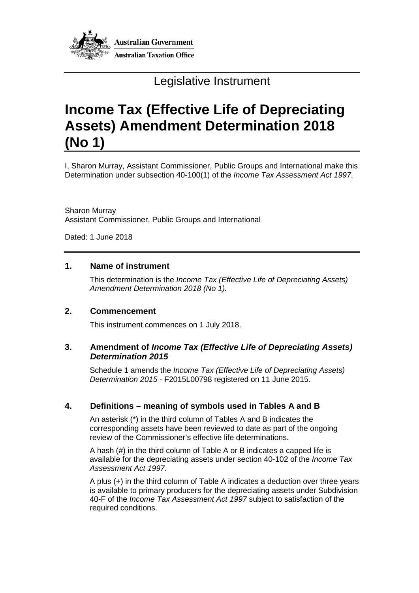

# Legislative Instrument

# **Income Tax (Effective Life of Depreciating Assets) Amendment Determination 2018 (No 1)**

I, Sharon Murray, Assistant Commissioner, Public Groups and International make this Determination under subsection 40-100(1) of the *Income Tax Assessment Act 1997*.

Sharon Murray Assistant Commissioner, Public Groups and International

Dated: 1 June 2018

#### **1. Name of instrument**

This determination is the *Income Tax (Effective Life of Depreciating Assets) Amendment Determination 2018 (No 1).*

#### **2. Commencement**

This instrument commences on 1 July 2018.

#### **3. Amendment of** *Income Tax (Effective Life of Depreciating Assets) Determination 2015*

Schedule 1 amends the *Income Tax (Effective Life of Depreciating Assets) Determination 2015* - F2015L00798 registered on 11 June 2015.

#### **4. Definitions – meaning of symbols used in Tables A and B**

An asterisk (\*) in the third column of Tables A and B indicates the corresponding assets have been reviewed to date as part of the ongoing review of the Commissioner's effective life determinations.

A hash (#) in the third column of Table A or B indicates a capped life is available for the depreciating assets under section 40-102 of the *Income Tax Assessment Act 1997*.

A plus (+) in the third column of Table A indicates a deduction over three years is available to primary producers for the depreciating assets under Subdivision 40-F of the *Income Tax Assessment Act 1997* subject to satisfaction of the required conditions.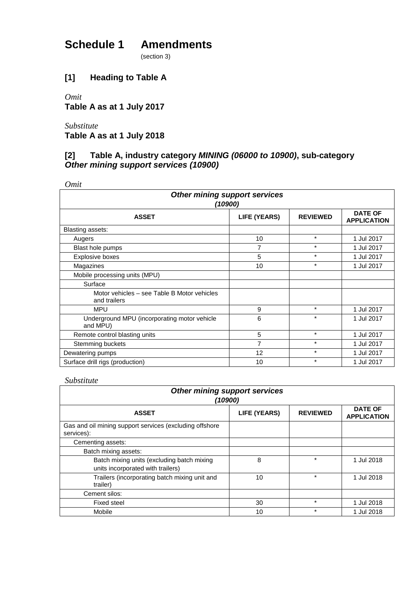# **Schedule 1 Amendments**

(section 3)

## **[1] Heading to Table A**

*Omit* **Table A as at 1 July 2017**

*Substitute* **Table A as at 1 July 2018**

## **[2] Table A, industry category** *MINING (06000 to 10900)***, sub***-***category** *Other mining support services (10900)*

*Omit*

| <b>Other mining support services</b><br>(10900)             |                     |                 |                                      |  |  |
|-------------------------------------------------------------|---------------------|-----------------|--------------------------------------|--|--|
| <b>ASSET</b>                                                | <b>LIFE (YEARS)</b> | <b>REVIEWED</b> | <b>DATE OF</b><br><b>APPLICATION</b> |  |  |
| Blasting assets:                                            |                     |                 |                                      |  |  |
| Augers                                                      | 10                  | $\star$         | 1 Jul 2017                           |  |  |
| Blast hole pumps                                            | $\overline{7}$      | $\star$         | 1 Jul 2017                           |  |  |
| Explosive boxes                                             | 5                   | $\star$         | 1 Jul 2017                           |  |  |
| Magazines                                                   | 10                  | $\star$         | 1 Jul 2017                           |  |  |
| Mobile processing units (MPU)                               |                     |                 |                                      |  |  |
| Surface                                                     |                     |                 |                                      |  |  |
| Motor vehicles – see Table B Motor vehicles<br>and trailers |                     |                 |                                      |  |  |
| <b>MPU</b>                                                  | 9                   | $\star$         | 1 Jul 2017                           |  |  |
| Underground MPU (incorporating motor vehicle<br>and MPU)    | 6                   | $\star$         | 1 Jul 2017                           |  |  |
| Remote control blasting units                               | 5                   | $\star$         | 1 Jul 2017                           |  |  |
| Stemming buckets                                            | 7                   | $\star$         | 1 Jul 2017                           |  |  |
| Dewatering pumps                                            | 12                  | $\star$         | 1 Jul 2017                           |  |  |
| Surface drill rigs (production)                             | 10                  | $\star$         | 1 Jul 2017                           |  |  |

| <b>Other mining support services</b><br>(10900)                                 |                     |                 |                                      |
|---------------------------------------------------------------------------------|---------------------|-----------------|--------------------------------------|
| <b>ASSET</b>                                                                    | <b>LIFE (YEARS)</b> | <b>REVIEWED</b> | <b>DATE OF</b><br><b>APPLICATION</b> |
| Gas and oil mining support services (excluding offshore<br>services):           |                     |                 |                                      |
| Cementing assets:                                                               |                     |                 |                                      |
| Batch mixing assets:                                                            |                     |                 |                                      |
| Batch mixing units (excluding batch mixing<br>units incorporated with trailers) | 8                   | $\star$         | 1 Jul 2018                           |
| Trailers (incorporating batch mixing unit and<br>trailer)                       | 10                  | $\star$         | 1 Jul 2018                           |
| Cement silos:                                                                   |                     |                 |                                      |
| <b>Fixed steel</b>                                                              | 30                  | $\star$         | 1 Jul 2018                           |
| Mobile                                                                          | 10                  | $\star$         | 1 Jul 2018                           |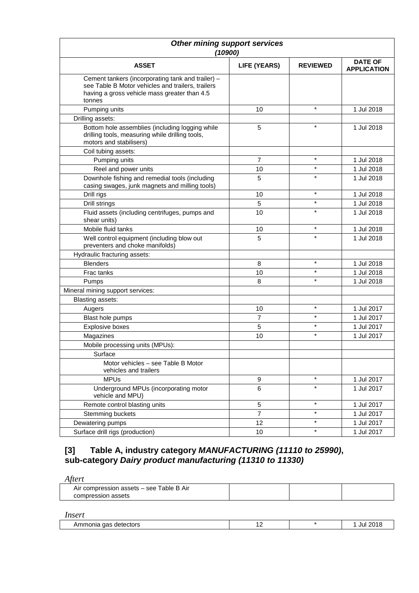| Other mining support services<br>(10900)                                                                                                                         |                     |                 |                                      |
|------------------------------------------------------------------------------------------------------------------------------------------------------------------|---------------------|-----------------|--------------------------------------|
| <b>ASSET</b>                                                                                                                                                     | <b>LIFE (YEARS)</b> | <b>REVIEWED</b> | <b>DATE OF</b><br><b>APPLICATION</b> |
| Cement tankers (incorporating tank and trailer) -<br>see Table B Motor vehicles and trailers, trailers<br>having a gross vehicle mass greater than 4.5<br>tonnes |                     |                 |                                      |
| Pumping units                                                                                                                                                    | 10                  | $\star$         | 1 Jul 2018                           |
| Drilling assets:                                                                                                                                                 |                     |                 |                                      |
| Bottom hole assemblies (including logging while<br>drilling tools, measuring while drilling tools,<br>motors and stabilisers)                                    | 5                   | $\star$         | 1 Jul 2018                           |
| Coil tubing assets:                                                                                                                                              |                     |                 |                                      |
| Pumping units                                                                                                                                                    | $\overline{7}$      | $\star$         | 1 Jul 2018                           |
| Reel and power units                                                                                                                                             | 10                  | $\star$         | 1 Jul 2018                           |
| Downhole fishing and remedial tools (including<br>casing swages, junk magnets and milling tools)                                                                 | 5                   | $\star$         | 1 Jul 2018                           |
| Drill rigs                                                                                                                                                       | 10                  | $\star$         | 1 Jul 2018                           |
| Drill strings                                                                                                                                                    | 5                   | $\star$         | 1 Jul 2018                           |
| Fluid assets (including centrifuges, pumps and<br>shear units)                                                                                                   | 10                  | $\star$         | 1 Jul 2018                           |
| Mobile fluid tanks                                                                                                                                               | 10                  | $\star$         | 1 Jul 2018                           |
| Well control equipment (including blow out<br>preventers and choke manifolds)                                                                                    | 5                   | $\star$         | 1 Jul 2018                           |
| Hydraulic fracturing assets:                                                                                                                                     |                     |                 |                                      |
| <b>Blenders</b>                                                                                                                                                  | 8                   | $\star$         | 1 Jul 2018                           |
| Frac tanks                                                                                                                                                       | 10                  | $\star$         | 1 Jul 2018                           |
| Pumps                                                                                                                                                            | 8                   | $\star$         | 1 Jul 2018                           |
| Mineral mining support services:                                                                                                                                 |                     |                 |                                      |
| Blasting assets:                                                                                                                                                 |                     |                 |                                      |
| Augers                                                                                                                                                           | 10                  | $\star$         | 1 Jul 2017                           |
| Blast hole pumps                                                                                                                                                 | $\overline{7}$      | $\star$         | 1 Jul 2017                           |
| Explosive boxes                                                                                                                                                  | 5                   | $\star$         | 1 Jul 2017                           |
| Magazines                                                                                                                                                        | 10                  | $\star$         | 1 Jul 2017                           |
| Mobile processing units (MPUs):                                                                                                                                  |                     |                 |                                      |
| Surface                                                                                                                                                          |                     |                 |                                      |
| Motor vehicles - see Table B Motor<br>vehicles and trailers                                                                                                      |                     |                 |                                      |
| <b>MPUs</b>                                                                                                                                                      | 9                   | $\star$         | 1 Jul 2017                           |
| Underground MPUs (incorporating motor<br>vehicle and MPU)                                                                                                        | $\,6\,$             | $\star$         | 1 Jul 2017                           |
| Remote control blasting units                                                                                                                                    | $\overline{5}$      | $\star$         | 1 Jul 2017                           |
| Stemming buckets                                                                                                                                                 | $\overline{7}$      | $\star$         | 1 Jul 2017                           |
| Dewatering pumps                                                                                                                                                 | 12                  | $\star$         | 1 Jul 2017                           |
| Surface drill rigs (production)                                                                                                                                  | 10                  | $^\star$        | 1 Jul 2017                           |

## **[3] Table A, industry category** *MANUFACTURING (11110 to 25990)***, sub***-***category** *Dairy product manufacturing (11310 to 11330)*

| Air compression assets - see Table B Air | Aftert             |  |  |
|------------------------------------------|--------------------|--|--|
|                                          | compression assets |  |  |

#### *Insert*

| ____<br>. | aas<br>detectors<br>nonia<br>mr<br><b>ALL</b> | . . |  | 201<br>JU' |
|-----------|-----------------------------------------------|-----|--|------------|
|-----------|-----------------------------------------------|-----|--|------------|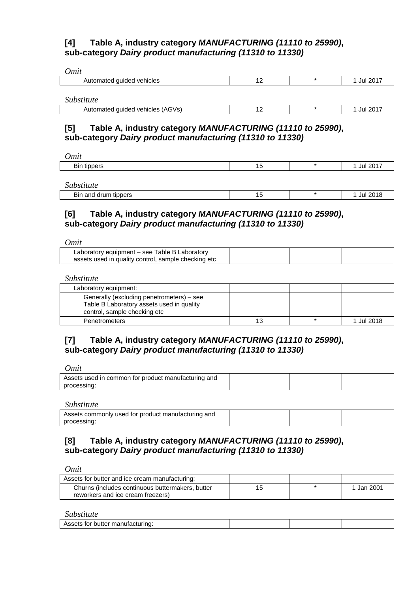## **[4] Table A, industry category** *MANUFACTURING (11110 to 25990)***, sub***-***category** *Dairy product manufacturing (11310 to 11330)*

| Omit                             |    |            |
|----------------------------------|----|------------|
| Automated guided vehicles        | 12 | 1 Jul 2017 |
|                                  |    |            |
| Substitute                       |    |            |
| Automated guided vehicles (AGVs) | 12 | 1 Jul 2017 |

### **[5] Table A, industry category** *MANUFACTURING (11110 to 25990)***, sub***-***category** *Dairy product manufacturing (11310 to 11330)*

| Omit               |           |                |
|--------------------|-----------|----------------|
| <b>Bin tippers</b> | AC<br>ں ا | <b>Jul 201</b> |
|                    |           |                |

*Substitute* 

| .                                  |   |  |
|------------------------------------|---|--|
| tippers<br><b>B</b> in and<br>drum | ⊶ |  |
|                                    |   |  |

## **[6] Table A, industry category** *MANUFACTURING (11110 to 25990)***, sub***-***category** *Dairy product manufacturing (11310 to 11330)*

*Omit*

| ---------                                                                                             |  |  |
|-------------------------------------------------------------------------------------------------------|--|--|
| Laboratory equipment – see Table B Laboratory<br>assets used in quality control, sample checking etc. |  |  |
|                                                                                                       |  |  |

*Substitute* 

| Laboratory equipment:                                                                                                  |    |            |
|------------------------------------------------------------------------------------------------------------------------|----|------------|
| Generally (excluding penetrometers) – see<br>Table B Laboratory assets used in quality<br>control, sample checking etc |    |            |
| Penetrometers                                                                                                          | 13 | 1 Jul 2018 |

## **[7] Table A, industry category** *MANUFACTURING (11110 to 25990)***, sub***-***category** *Dairy product manufacturing (11310 to 11330)*

*Omit*

| Assets used in common for product manufacturing and |  |  |
|-----------------------------------------------------|--|--|
| processing                                          |  |  |

*Substitute* 

| Assets commonly used for product manufacturing and |  |  |
|----------------------------------------------------|--|--|
| processin <sup>~</sup>                             |  |  |

## **[8] Table A, industry category** *MANUFACTURING (11110 to 25990)***, sub***-***category** *Dairy product manufacturing (11310 to 11330)*

*Omit*

| Assets for butter and ice cream manufacturing:                                        |    |          |
|---------------------------------------------------------------------------------------|----|----------|
| Churns (includes continuous buttermakers, butter<br>reworkers and ice cream freezers) | 15 | Jan 2001 |

| acturing.<br>.<br>.1177<br>TOL<br>ுட<br>nuπer<br>manulatil<br>133513 |  |  |
|----------------------------------------------------------------------|--|--|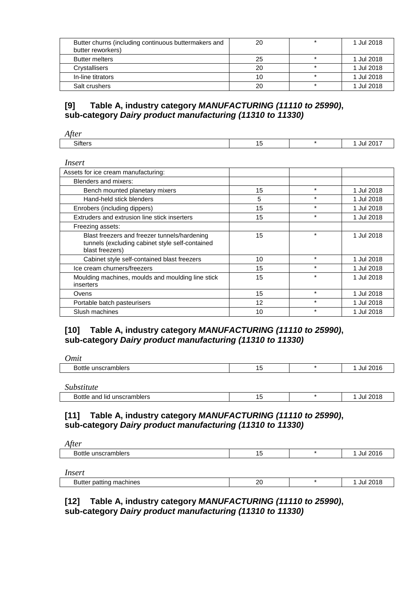| Butter churns (including continuous buttermakers and<br>butter reworkers) | 20 | 1 Jul 2018 |
|---------------------------------------------------------------------------|----|------------|
| <b>Butter melters</b>                                                     | 25 | 1 Jul 2018 |
| Crystallisers                                                             | 20 | 1 Jul 2018 |
| In-line titrators                                                         | 10 | 1 Jul 2018 |
| Salt crushers                                                             | 20 | 1 Jul 2018 |

## **[9] Table A, industry category** *MANUFACTURING (11110 to 25990)***, sub***-***category** *Dairy product manufacturing (11310 to 11330)*

| ~…<br>. . | . . |  |  |
|-----------|-----|--|--|
|           |     |  |  |

| Insert                                                                                                             |    |         |            |
|--------------------------------------------------------------------------------------------------------------------|----|---------|------------|
| Assets for ice cream manufacturing:                                                                                |    |         |            |
| Blenders and mixers:                                                                                               |    |         |            |
| Bench mounted planetary mixers                                                                                     | 15 | $\star$ | 1 Jul 2018 |
| Hand-held stick blenders                                                                                           | 5  | $\star$ | 1 Jul 2018 |
| Enrobers (including dippers)                                                                                       | 15 | $\star$ | 1 Jul 2018 |
| Extruders and extrusion line stick inserters                                                                       | 15 | $\star$ | 1 Jul 2018 |
| Freezing assets:                                                                                                   |    |         |            |
| Blast freezers and freezer tunnels/hardening<br>tunnels (excluding cabinet style self-contained<br>blast freezers) | 15 | $\star$ | 1 Jul 2018 |
| Cabinet style self-contained blast freezers                                                                        | 10 | $\star$ | 1 Jul 2018 |
| Ice cream churners/freezers                                                                                        | 15 | $\star$ | 1 Jul 2018 |
| Moulding machines, moulds and moulding line stick<br>inserters                                                     | 15 | $\star$ | 1 Jul 2018 |
| Ovens                                                                                                              | 15 | $\star$ | 1 Jul 2018 |
| Portable batch pasteurisers                                                                                        | 12 | $\star$ | 1 Jul 2018 |
| Slush machines                                                                                                     | 10 | $\star$ | 1 Jul 2018 |

## **[10] Table A, industry category** *MANUFACTURING (11110 to 25990)***, sub***-***category** *Dairy product manufacturing (11310 to 11330)*

| <b><i><u>Imit</u></i></b> |           |          |
|---------------------------|-----------|----------|
| Bottle unscramblers       | . .<br>טו | Jul 2016 |
|                           |           |          |

*Substitute* 

| ~~~~~~~~~~                        |  |              |
|-----------------------------------|--|--------------|
| Bottle<br>unscramblers<br>and lid |  | 2018<br>JUL. |

## **[11] Table A, industry category** *MANUFACTURING (11110 to 25990)***, sub***-***category** *Dairy product manufacturing (11310 to 11330)*

| tt o r<br>$\overline{ }$<br> |          |      |
|------------------------------|----------|------|
| потег<br>י<br>-<br>___       | <u>ل</u> | lu I |
|                              |          |      |

*Insert*

| nachines<br>Butter<br>ппс<br>$\sim$<br>. <del>.</del> . | $\Omega$<br>∼<br>___ | ົດດີ<br>Jul<br>____ |
|---------------------------------------------------------|----------------------|---------------------|

**[12] Table A, industry category** *MANUFACTURING (11110 to 25990)***, sub***-***category** *Dairy product manufacturing (11310 to 11330)*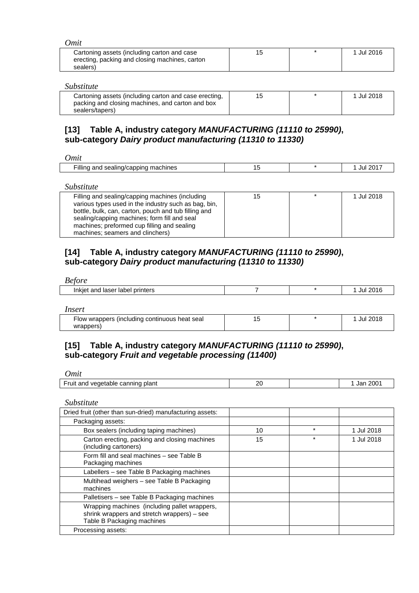| )mit                                                                                                      |    |            |
|-----------------------------------------------------------------------------------------------------------|----|------------|
| Cartoning assets (including carton and case<br>erecting, packing and closing machines, carton<br>sealers) | 15 | 1 Jul 2016 |

| Substitute                                                                                                                   |    |            |
|------------------------------------------------------------------------------------------------------------------------------|----|------------|
| Cartoning assets (including carton and case erecting,<br>packing and closing machines, and carton and box<br>sealers/tapers) | 15 | 1 Jul 2018 |

## **[13] Table A, industry category** *MANUFACTURING (11110 to 25990)***, sub***-***category** *Dairy product manufacturing (11310 to 11330)*

| Omit |  |
|------|--|
|      |  |

| machines<br>ıllını<br>cappino<br>JUL.<br>anc<br>ייי<br>аш<br>יי<br>. .<br>$\sim$<br>. . | $- \cdots$ |  |  | ⊸∩מ |
|-----------------------------------------------------------------------------------------|------------|--|--|-----|
|-----------------------------------------------------------------------------------------|------------|--|--|-----|

*Substitute* 

| Filling and sealing/capping machines (including      | 15 | $\star$ | 1 Jul 2018 |
|------------------------------------------------------|----|---------|------------|
| various types used in the industry such as bag, bin, |    |         |            |
| bottle, bulk, can, carton, pouch and tub filling and |    |         |            |
| sealing/capping machines; form fill and seal         |    |         |            |
| machines; preformed cup filling and sealing          |    |         |            |
| machines; seamers and clinchers)                     |    |         |            |

## **[14] Table A, industry category** *MANUFACTURING (11110 to 25990)***, sub***-***category** *Dairy product manufacturing (11310 to 11330)*

*Before*

| printers<br>∵and<br>, laser<br>Inkiet<br>aper : |  |  |
|-------------------------------------------------|--|--|
|                                                 |  |  |

*Insert*

| Flow wrappers (including continuous heat seal |  | Jul 2018 |  |
|-----------------------------------------------|--|----------|--|
| wrappers)                                     |  |          |  |

## **[15] Table A, industry category** *MANUFACTURING (11110 to 25990)***, sub***-***category** *Fruit and vegetable processing (11400)*

*Omit*

| ruit<br>plant<br>. and<br>vegetable<br>⊥canninα∹ | ົາເ<br>$-$ | 200<br>Jar |
|--------------------------------------------------|------------|------------|
|                                                  |            |            |

| Dried fruit (other than sun-dried) manufacturing assets:                                                                   |    |         |            |
|----------------------------------------------------------------------------------------------------------------------------|----|---------|------------|
| Packaging assets:                                                                                                          |    |         |            |
| Box sealers (including taping machines)                                                                                    | 10 | $\star$ | 1 Jul 2018 |
| Carton erecting, packing and closing machines<br>(including cartoners)                                                     | 15 | $\star$ | 1 Jul 2018 |
| Form fill and seal machines - see Table B<br>Packaging machines                                                            |    |         |            |
| Labellers – see Table B Packaging machines                                                                                 |    |         |            |
| Multihead weighers - see Table B Packaging<br>machines                                                                     |    |         |            |
| Palletisers – see Table B Packaging machines                                                                               |    |         |            |
| Wrapping machines (including pallet wrappers,<br>shrink wrappers and stretch wrappers) – see<br>Table B Packaging machines |    |         |            |
| Processing assets:                                                                                                         |    |         |            |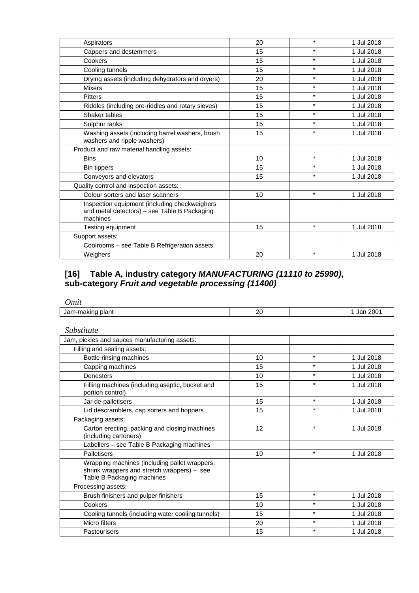| 20 | $\star$ | 1 Jul 2018 |
|----|---------|------------|
| 15 | $\star$ | 1 Jul 2018 |
| 15 | $\star$ | 1 Jul 2018 |
| 15 | $\star$ | 1 Jul 2018 |
| 20 | $\star$ | 1 Jul 2018 |
| 15 | $\star$ | 1 Jul 2018 |
| 15 | $\star$ | 1 Jul 2018 |
| 15 | $\star$ | 1 Jul 2018 |
| 15 | $\star$ | 1 Jul 2018 |
| 15 | $\star$ | 1 Jul 2018 |
| 15 | $\star$ | 1 Jul 2018 |
|    |         |            |
| 10 | $\star$ | 1 Jul 2018 |
| 15 | $\star$ | 1 Jul 2018 |
| 15 | $\star$ | 1 Jul 2018 |
|    |         |            |
| 10 | $\star$ | 1 Jul 2018 |
|    |         |            |
| 15 | $\star$ | 1 Jul 2018 |
|    |         |            |
|    |         |            |
| 20 | $\star$ | 1 Jul 2018 |
|    |         |            |

## **[16] Table A, industry category** *MANUFACTURING (11110 to 25990)***, sub***-***category** *Fruit and vegetable processing (11400)*

| Omit                                                                                                                       |    |         |            |
|----------------------------------------------------------------------------------------------------------------------------|----|---------|------------|
| Jam-making plant                                                                                                           | 20 |         | 1 Jan 2001 |
| <i>Substitute</i>                                                                                                          |    |         |            |
| Jam, pickles and sauces manufacturing assets:                                                                              |    |         |            |
| Filling and sealing assets:                                                                                                |    |         |            |
| Bottle rinsing machines                                                                                                    | 10 | $\star$ | 1 Jul 2018 |
| Capping machines                                                                                                           | 15 | $\star$ | 1 Jul 2018 |
| Denesters                                                                                                                  | 10 | $\star$ | 1 Jul 2018 |
| Filling machines (including aseptic, bucket and<br>portion control)                                                        | 15 | $\star$ | 1 Jul 2018 |
| Jar de-palletisers                                                                                                         | 15 | $\star$ | 1 Jul 2018 |
| Lid descramblers, cap sorters and hoppers                                                                                  | 15 | $\star$ | 1 Jul 2018 |
| Packaging assets:                                                                                                          |    |         |            |
| Carton erecting, packing and closing machines<br>(including cartoners)                                                     | 12 | $\star$ | 1 Jul 2018 |
| Labellers - see Table B Packaging machines                                                                                 |    |         |            |
| Palletisers                                                                                                                | 10 | $\star$ | 1 Jul 2018 |
| Wrapping machines (including pallet wrappers,<br>shrink wrappers and stretch wrappers) - see<br>Table B Packaging machines |    |         |            |
| Processing assets:                                                                                                         |    |         |            |
| Brush finishers and pulper finishers                                                                                       | 15 | $\star$ | 1 Jul 2018 |
| Cookers                                                                                                                    | 10 | $\star$ | 1 Jul 2018 |
| Cooling tunnels (including water cooling tunnels)                                                                          | 15 | $\star$ | 1 Jul 2018 |
| Micro filters                                                                                                              | 20 | $\star$ | 1 Jul 2018 |
| Pasteurisers                                                                                                               | 15 | $\star$ | 1 Jul 2018 |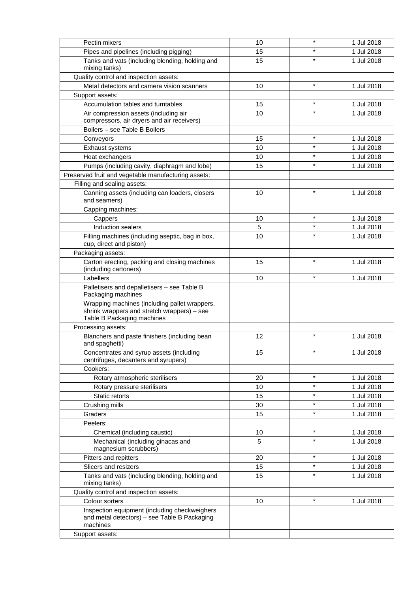| Pectin mixers                                                                                                              | 10 |         | 1 Jul 2018 |
|----------------------------------------------------------------------------------------------------------------------------|----|---------|------------|
| Pipes and pipelines (including pigging)                                                                                    | 15 |         | 1 Jul 2018 |
| Tanks and vats (including blending, holding and<br>mixing tanks)                                                           | 15 |         | 1 Jul 2018 |
| Quality control and inspection assets:                                                                                     |    |         |            |
| Metal detectors and camera vision scanners                                                                                 | 10 | $\star$ | 1 Jul 2018 |
| Support assets:                                                                                                            |    |         |            |
| Accumulation tables and turntables                                                                                         | 15 | $\star$ | 1 Jul 2018 |
| Air compression assets (including air                                                                                      | 10 | $\star$ | 1 Jul 2018 |
| compressors, air dryers and air receivers)                                                                                 |    |         |            |
| Boilers - see Table B Boilers                                                                                              |    |         |            |
| Conveyors                                                                                                                  | 15 | $\star$ | 1 Jul 2018 |
| Exhaust systems                                                                                                            | 10 | $\star$ | 1 Jul 2018 |
| Heat exchangers                                                                                                            | 10 | $\star$ | 1 Jul 2018 |
| Pumps (including cavity, diaphragm and lobe)                                                                               | 15 | $\star$ | 1 Jul 2018 |
| Preserved fruit and vegetable manufacturing assets:                                                                        |    |         |            |
| Filling and sealing assets:                                                                                                |    |         |            |
| Canning assets (including can loaders, closers<br>and seamers)                                                             | 10 | $\star$ | 1 Jul 2018 |
| Capping machines:                                                                                                          |    |         |            |
| Cappers                                                                                                                    | 10 | $\star$ | 1 Jul 2018 |
| Induction sealers                                                                                                          | 5  | $\star$ | 1 Jul 2018 |
| Filling machines (including aseptic, bag in box,<br>cup, direct and piston)                                                | 10 |         | 1 Jul 2018 |
| Packaging assets:                                                                                                          |    |         |            |
| Carton erecting, packing and closing machines<br>(including cartoners)                                                     | 15 | $\star$ | 1 Jul 2018 |
| Labellers                                                                                                                  | 10 | $\star$ | 1 Jul 2018 |
| Palletisers and depalletisers - see Table B<br>Packaging machines                                                          |    |         |            |
| Wrapping machines (including pallet wrappers,<br>shrink wrappers and stretch wrappers) - see<br>Table B Packaging machines |    |         |            |
| Processing assets:                                                                                                         |    |         |            |
| Blanchers and paste finishers (including bean<br>and spaghetti)                                                            | 12 | $\star$ | 1 Jul 2018 |
| Concentrates and syrup assets (including<br>centrifuges, decanters and syrupers)                                           | 15 | $\star$ | 1 Jul 2018 |
| Cookers:                                                                                                                   |    |         |            |
| Rotary atmospheric sterilisers                                                                                             | 20 | $\star$ | 1 Jul 2018 |
| Rotary pressure sterilisers                                                                                                | 10 | $\star$ | 1 Jul 2018 |
| Static retorts                                                                                                             | 15 | $\star$ | 1 Jul 2018 |
| Crushing mills                                                                                                             | 30 | $\star$ | 1 Jul 2018 |
| Graders                                                                                                                    | 15 | $\star$ | 1 Jul 2018 |
| Peelers:                                                                                                                   |    |         |            |
| Chemical (including caustic)                                                                                               | 10 | $\star$ | 1 Jul 2018 |
| Mechanical (including ginacas and<br>magnesium scrubbers)                                                                  | 5  | $\star$ | 1 Jul 2018 |
| Pitters and repitters                                                                                                      | 20 | $\star$ | 1 Jul 2018 |
| Slicers and resizers                                                                                                       | 15 | $\star$ | 1 Jul 2018 |
| Tanks and vats (including blending, holding and<br>mixing tanks)                                                           | 15 | $\star$ | 1 Jul 2018 |
| Quality control and inspection assets:                                                                                     |    |         |            |
| Colour sorters                                                                                                             | 10 | $\star$ | 1 Jul 2018 |
| Inspection equipment (including checkweighers<br>and metal detectors) - see Table B Packaging<br>machines                  |    |         |            |
| Support assets:                                                                                                            |    |         |            |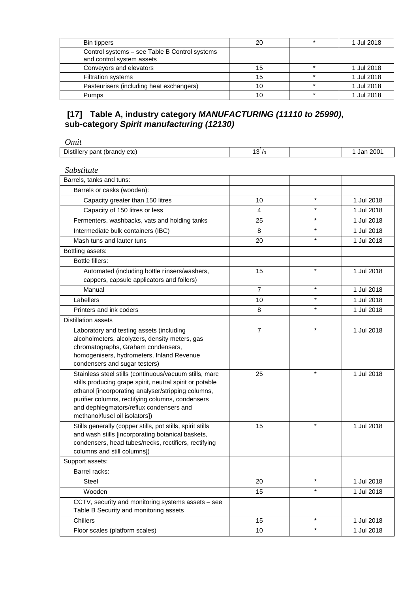| Bin tippers                                                                | 20 | 1 Jul 2018 |
|----------------------------------------------------------------------------|----|------------|
| Control systems - see Table B Control systems<br>and control system assets |    |            |
| Conveyors and elevators                                                    | 15 | 1 Jul 2018 |
| <b>Filtration systems</b>                                                  | 15 | 1 Jul 2018 |
| Pasteurisers (including heat exchangers)                                   | 10 | 1 Jul 2018 |
| Pumps                                                                      | 10 | 1 Jul 2018 |

## **[17] Table A, industry category** *MANUFACTURING (11110 to 25990)***, sub***-***category** *Spirit manufacturing (12130)*

| <b>Omit</b>                                                                                                                                                                                                                                                                                               |                |         |            |
|-----------------------------------------------------------------------------------------------------------------------------------------------------------------------------------------------------------------------------------------------------------------------------------------------------------|----------------|---------|------------|
| Distillery pant (brandy etc)                                                                                                                                                                                                                                                                              | $13^{1}/_3$    |         | 1 Jan 2001 |
| Substitute                                                                                                                                                                                                                                                                                                |                |         |            |
| Barrels, tanks and tuns:                                                                                                                                                                                                                                                                                  |                |         |            |
| Barrels or casks (wooden):                                                                                                                                                                                                                                                                                |                |         |            |
| Capacity greater than 150 litres                                                                                                                                                                                                                                                                          | 10             | $\star$ | 1 Jul 2018 |
| Capacity of 150 litres or less                                                                                                                                                                                                                                                                            | 4              | $\star$ | 1 Jul 2018 |
| Fermenters, washbacks, vats and holding tanks                                                                                                                                                                                                                                                             | 25             | $\star$ | 1 Jul 2018 |
| Intermediate bulk containers (IBC)                                                                                                                                                                                                                                                                        | 8              | $\star$ | 1 Jul 2018 |
| Mash tuns and lauter tuns                                                                                                                                                                                                                                                                                 | 20             | $\star$ | 1 Jul 2018 |
| Bottling assets:                                                                                                                                                                                                                                                                                          |                |         |            |
| <b>Bottle fillers:</b>                                                                                                                                                                                                                                                                                    |                |         |            |
| Automated (including bottle rinsers/washers,<br>cappers, capsule applicators and foilers)                                                                                                                                                                                                                 | 15             | $\star$ | 1 Jul 2018 |
| Manual                                                                                                                                                                                                                                                                                                    | $\overline{7}$ | $\star$ | 1 Jul 2018 |
| Labellers                                                                                                                                                                                                                                                                                                 | 10             | $\star$ | 1 Jul 2018 |
| Printers and ink coders                                                                                                                                                                                                                                                                                   | 8              | $\star$ | 1 Jul 2018 |
| <b>Distillation assets</b>                                                                                                                                                                                                                                                                                |                |         |            |
| Laboratory and testing assets (including<br>alcoholmeters, alcolyzers, density meters, gas<br>chromatographs, Graham condensers,<br>homogenisers, hydrometers, Inland Revenue<br>condensers and sugar testers)                                                                                            | $\overline{7}$ | $\star$ | 1 Jul 2018 |
| Stainless steel stills (continuous/vacuum stills, marc<br>stills producing grape spirit, neutral spirit or potable<br>ethanol [incorporating analyser/stripping columns,<br>purifier columns, rectifying columns, condensers<br>and dephlegmators/reflux condensers and<br>methanol/fusel oil isolators]) | 25             | $\star$ | 1 Jul 2018 |
| Stills generally (copper stills, pot stills, spirit stills<br>and wash stills [incorporating botanical baskets,<br>condensers, head tubes/necks, rectifiers, rectifying<br>columns and still columns])                                                                                                    | 15             | $\star$ | 1 Jul 2018 |
| Support assets:                                                                                                                                                                                                                                                                                           |                |         |            |
| Barrel racks:                                                                                                                                                                                                                                                                                             |                |         |            |
| Steel                                                                                                                                                                                                                                                                                                     | 20             | $\star$ | 1 Jul 2018 |
| Wooden                                                                                                                                                                                                                                                                                                    | 15             | $\star$ | 1 Jul 2018 |
| CCTV, security and monitoring systems assets - see<br>Table B Security and monitoring assets                                                                                                                                                                                                              |                |         |            |
| Chillers                                                                                                                                                                                                                                                                                                  | 15             | $\star$ | 1 Jul 2018 |
| Floor scales (platform scales)                                                                                                                                                                                                                                                                            | 10             | $\star$ | 1 Jul 2018 |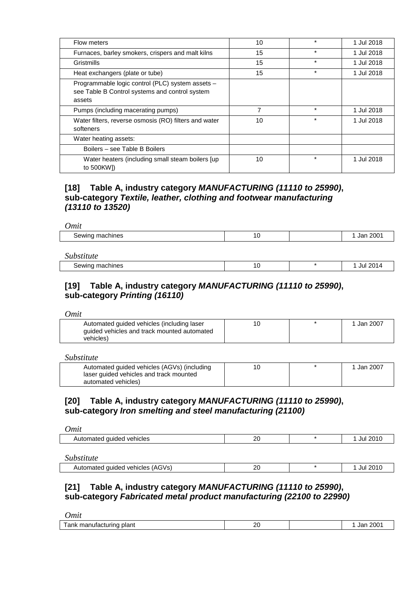| Flow meters                                                                                                  | 10 | $\star$ | 1 Jul 2018 |
|--------------------------------------------------------------------------------------------------------------|----|---------|------------|
| Furnaces, barley smokers, crispers and malt kilns                                                            | 15 | $\ast$  | 1 Jul 2018 |
| Gristmills                                                                                                   | 15 | $\star$ | 1 Jul 2018 |
| Heat exchangers (plate or tube)                                                                              | 15 | $\ast$  | 1 Jul 2018 |
| Programmable logic control (PLC) system assets -<br>see Table B Control systems and control system<br>assets |    |         |            |
| Pumps (including macerating pumps)                                                                           | 7  | $\ast$  | 1 Jul 2018 |
| Water filters, reverse osmosis (RO) filters and water<br>softeners                                           | 10 | $\star$ | 1 Jul 2018 |
| Water heating assets:                                                                                        |    |         |            |
| Boilers – see Table B Boilers                                                                                |    |         |            |
| Water heaters (including small steam boilers [up]<br>to 500KW])                                              | 10 | $\star$ | 1 Jul 2018 |

## **[18] Table A, industry category** *MANUFACTURING (11110 to 25990)***, sub***-***category** *Textile, leather, clothing and footwear manufacturing (13110 to 13520)*

*Omit* Sewing machines 10 10 1 Jan 2001

| Substitute                               |    |             |
|------------------------------------------|----|-------------|
| machines<br>oewing '<br>. <del>. .</del> | 10 | 2014<br>Jul |

#### **[19] Table A, industry category** *MANUFACTURING (11110 to 25990)***, sub***-***category** *Printing (16110)*

*Omit*

| Automated guided vehicles (including laser  | 10 | Jan 2007 |
|---------------------------------------------|----|----------|
| quided vehicles and track mounted automated |    |          |
| vehicles)                                   |    |          |

*Substitute* 

| Automated guided vehicles (AGVs) (including |  | Jan 2007 |
|---------------------------------------------|--|----------|
| laser guided vehicles and track mounted     |  |          |
| automated vehicles)                         |  |          |

#### **[20] Table A, industry category** *MANUFACTURING (11110 to 25990)***, sub***-***category** *Iron smelting and steel manufacturing (21100)*

| Omit                      |    |            |
|---------------------------|----|------------|
| Automated guided vehicles | 20 | 1 Jul 2010 |
|                           |    |            |
| Substitute                |    |            |

| ------------------                     |          |     |
|----------------------------------------|----------|-----|
| t auided vehicles (AGVs).<br>Automated | n r<br>- | JU! |
|                                        |          |     |

#### **[21] Table A, industry category** *MANUFACTURING (11110 to 25990)***, sub***-***category** *Fabricated metal product manufacturing (22100 to 22990)*

| <b>Imit</b>                    |          |                         |
|--------------------------------|----------|-------------------------|
| Tank<br>manutacturing<br>plant | า∩<br>Zυ | 200 <sub>1</sub><br>Jar |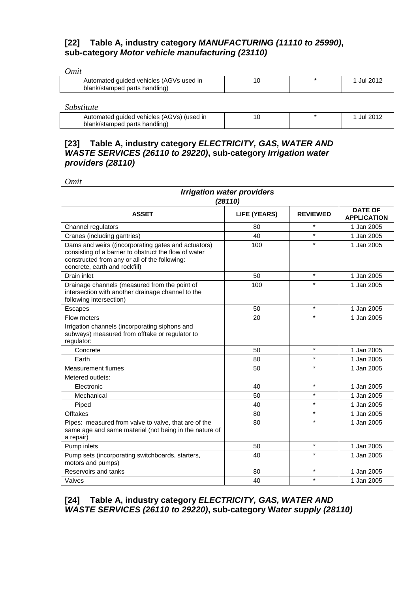## **[22] Table A, industry category** *MANUFACTURING (11110 to 25990)***, sub***-***category** *Motor vehicle manufacturing (23110)*

| <b>)mit</b>                                                              |    |          |
|--------------------------------------------------------------------------|----|----------|
| Automated guided vehicles (AGVs used in<br>blank/stamped parts handling) | 10 | Jul 2012 |
|                                                                          |    |          |

*Substitute* 

| ~~~~~~~~~~                                |  |          |
|-------------------------------------------|--|----------|
| Automated guided vehicles (AGVs) (used in |  | Jul 2013 |
| blank/stamped parts handling)             |  |          |

## **[23] Table A, industry category** *ELECTRICITY, GAS, WATER AND WASTE SERVICES (26110 to 29220)***, sub***-***category** *Irrigation water providers (28110)*

*Omit*

| <b>Irrigation water providers</b><br>(28110)                                                                                                                                                   |                     |                 |                                      |
|------------------------------------------------------------------------------------------------------------------------------------------------------------------------------------------------|---------------------|-----------------|--------------------------------------|
| <b>ASSET</b>                                                                                                                                                                                   | <b>LIFE (YEARS)</b> | <b>REVIEWED</b> | <b>DATE OF</b><br><b>APPLICATION</b> |
| Channel regulators                                                                                                                                                                             | 80                  | $\star$         | 1 Jan 2005                           |
| Cranes (including gantries)                                                                                                                                                                    | 40                  | $\star$         | 1 Jan 2005                           |
| Dams and weirs ((incorporating gates and actuators)<br>consisting of a barrier to obstruct the flow of water<br>constructed from any or all of the following:<br>concrete, earth and rockfill) | 100                 | $\star$         | 1 Jan 2005                           |
| Drain inlet                                                                                                                                                                                    | 50                  | $\star$         | 1 Jan 2005                           |
| Drainage channels (measured from the point of<br>intersection with another drainage channel to the<br>following intersection)                                                                  | 100                 | $\star$         | 1 Jan 2005                           |
| Escapes                                                                                                                                                                                        | 50                  | $\star$         | 1 Jan 2005                           |
| Flow meters                                                                                                                                                                                    | 20                  | $\star$         | 1 Jan 2005                           |
| Irrigation channels (incorporating siphons and<br>subways) measured from offtake or regulator to<br>regulator:                                                                                 |                     |                 |                                      |
| Concrete                                                                                                                                                                                       | 50                  | $\star$         | 1 Jan 2005                           |
| Earth                                                                                                                                                                                          | 80                  | $\star$         | 1 Jan 2005                           |
| <b>Measurement flumes</b>                                                                                                                                                                      | 50                  | $\star$         | 1 Jan 2005                           |
| Metered outlets:                                                                                                                                                                               |                     |                 |                                      |
| Electronic                                                                                                                                                                                     | 40                  | $\star$         | 1 Jan 2005                           |
| Mechanical                                                                                                                                                                                     | 50                  | $\star$         | 1 Jan 2005                           |
| Piped                                                                                                                                                                                          | 40                  | $\star$         | 1 Jan 2005                           |
| <b>Offtakes</b>                                                                                                                                                                                | 80                  | $\star$         | 1 Jan 2005                           |
| Pipes: measured from valve to valve, that are of the<br>same age and same material (not being in the nature of<br>a repair)                                                                    | 80                  | $\star$         | 1 Jan 2005                           |
| Pump inlets                                                                                                                                                                                    | 50                  | $\star$         | 1 Jan 2005                           |
| Pump sets (incorporating switchboards, starters,<br>motors and pumps)                                                                                                                          | 40                  | $\star$         | 1 Jan 2005                           |
| Reservoirs and tanks                                                                                                                                                                           | 80                  | $\star$         | 1 Jan 2005                           |
| Valves                                                                                                                                                                                         | 40                  | $\star$         | 1 Jan 2005                           |

**[24] Table A, industry category** *ELECTRICITY, GAS, WATER AND WASTE SERVICES (26110 to 29220)***, sub***-***category W***ater supply (28110)*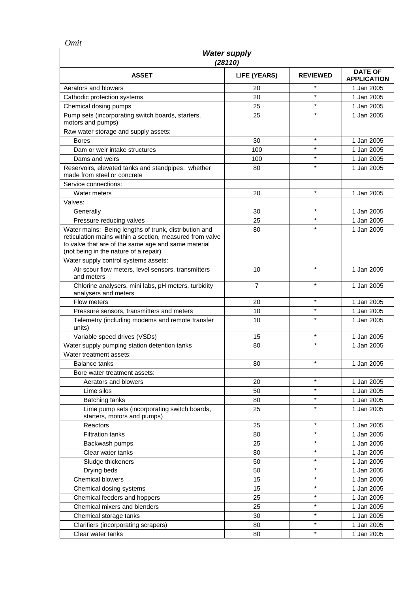*Omit*

| <b>Water supply</b><br>(28110)                                                                                                                                                                                    |              |                 |                                      |
|-------------------------------------------------------------------------------------------------------------------------------------------------------------------------------------------------------------------|--------------|-----------------|--------------------------------------|
| <b>ASSET</b>                                                                                                                                                                                                      | LIFE (YEARS) | <b>REVIEWED</b> | <b>DATE OF</b><br><b>APPLICATION</b> |
| Aerators and blowers                                                                                                                                                                                              | 20           | $\star$         | 1 Jan 2005                           |
| Cathodic protection systems                                                                                                                                                                                       | 20           | $\star$         | 1 Jan 2005                           |
| Chemical dosing pumps                                                                                                                                                                                             | 25           | $^\star$        | 1 Jan 2005                           |
| Pump sets (incorporating switch boards, starters,                                                                                                                                                                 | 25           | $\star$         | 1 Jan 2005                           |
| motors and pumps)                                                                                                                                                                                                 |              |                 |                                      |
| Raw water storage and supply assets:                                                                                                                                                                              |              |                 |                                      |
| <b>Bores</b>                                                                                                                                                                                                      | 30           | $\star$         | 1 Jan 2005                           |
| Dam or weir intake structures                                                                                                                                                                                     | 100          | $\star$         | 1 Jan 2005                           |
| Dams and weirs                                                                                                                                                                                                    | 100          | *               | 1 Jan 2005                           |
| Reservoirs, elevated tanks and standpipes: whether                                                                                                                                                                | 80           | $\star$         | 1 Jan 2005                           |
| made from steel or concrete                                                                                                                                                                                       |              |                 |                                      |
| Service connections:                                                                                                                                                                                              |              | $\star$         |                                      |
| Water meters                                                                                                                                                                                                      | 20           |                 | 1 Jan 2005                           |
| Valves:                                                                                                                                                                                                           |              | $\star$         |                                      |
| Generally                                                                                                                                                                                                         | 30           | $\star$         | 1 Jan 2005                           |
| Pressure reducing valves                                                                                                                                                                                          | 25           | $\star$         | 1 Jan 2005                           |
| Water mains: Being lengths of trunk, distribution and<br>reticulation mains within a section, measured from valve<br>to valve that are of the same age and same material<br>(not being in the nature of a repair) | 80           |                 | 1 Jan 2005                           |
| Water supply control systems assets:                                                                                                                                                                              |              |                 |                                      |
| Air scour flow meters, level sensors, transmitters<br>and meters                                                                                                                                                  | 10           | $\star$         | 1 Jan 2005                           |
| Chlorine analysers, mini labs, pH meters, turbidity<br>analysers and meters                                                                                                                                       | 7            | $\star$         | 1 Jan 2005                           |
| Flow meters                                                                                                                                                                                                       | 20           | $\star$         | 1 Jan 2005                           |
| Pressure sensors, transmitters and meters                                                                                                                                                                         | 10           | $\star$         | 1 Jan 2005                           |
| Telemetry (including modems and remote transfer<br>units)                                                                                                                                                         | 10           | $\star$         | 1 Jan 2005                           |
| Variable speed drives (VSDs)                                                                                                                                                                                      | 15           | $\star$         | 1 Jan 2005                           |
| Water supply pumping station detention tanks                                                                                                                                                                      | 80           | $\star$         | 1 Jan 2005                           |
| Water treatment assets:                                                                                                                                                                                           |              |                 |                                      |
| <b>Balance tanks</b>                                                                                                                                                                                              | 80           | $\star$         | 1 Jan 2005                           |
| Bore water treatment assets:                                                                                                                                                                                      |              |                 |                                      |
| Aerators and blowers                                                                                                                                                                                              | 20           | $\star$         | 1 Jan 2005                           |
| Lime silos                                                                                                                                                                                                        | 50           | $\star$         | 1 Jan 2005                           |
| <b>Batching tanks</b>                                                                                                                                                                                             | 80           | $\star$         | 1 Jan 2005                           |
| Lime pump sets (incorporating switch boards,<br>starters, motors and pumps)                                                                                                                                       | 25           | $\star$         | 1 Jan 2005                           |
| Reactors                                                                                                                                                                                                          | 25           | $\star$         | 1 Jan 2005                           |
| <b>Filtration tanks</b>                                                                                                                                                                                           | 80           | $\star$         | 1 Jan 2005                           |
| Backwash pumps                                                                                                                                                                                                    | 25           | $\star$         | 1 Jan 2005                           |
| Clear water tanks                                                                                                                                                                                                 | 80           | $\star$         | 1 Jan 2005                           |
| Sludge thickeners                                                                                                                                                                                                 | 50           | $\star$         | 1 Jan 2005                           |
| Drying beds                                                                                                                                                                                                       | 50           | *               | 1 Jan 2005                           |
| Chemical blowers                                                                                                                                                                                                  | 15           | $\star$         | 1 Jan 2005                           |
| Chemical dosing systems                                                                                                                                                                                           | 15           | $\star$         | 1 Jan 2005                           |
| Chemical feeders and hoppers                                                                                                                                                                                      | 25           | $\star$         | 1 Jan 2005                           |
| Chemical mixers and blenders                                                                                                                                                                                      | 25           | $\star$         | 1 Jan 2005                           |
| Chemical storage tanks                                                                                                                                                                                            | 30           | $\star$         | 1 Jan 2005                           |
| Clarifiers (incorporating scrapers)                                                                                                                                                                               | 80           | $\star$         | 1 Jan 2005                           |
| Clear water tanks                                                                                                                                                                                                 | 80           | $\star$         | 1 Jan 2005                           |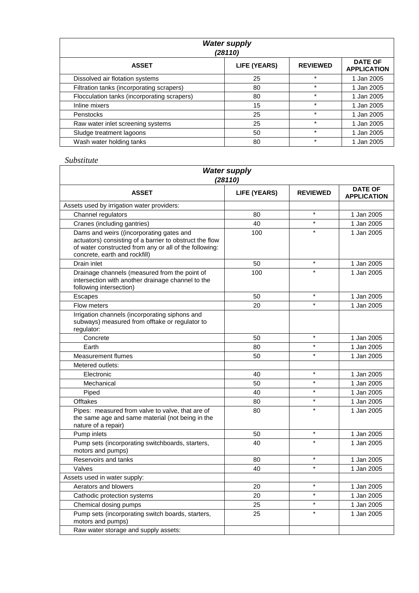| <b>Water supply</b><br>(28110)              |              |                 |                                      |
|---------------------------------------------|--------------|-----------------|--------------------------------------|
| <b>ASSET</b>                                | LIFE (YEARS) | <b>REVIEWED</b> | <b>DATE OF</b><br><b>APPLICATION</b> |
| Dissolved air flotation systems             | 25           | $\star$         | 1 Jan 2005                           |
| Filtration tanks (incorporating scrapers)   | 80           | $\star$         | 1 Jan 2005                           |
| Flocculation tanks (incorporating scrapers) | 80           | $\star$         | 1 Jan 2005                           |
| Inline mixers                               | 15           | $\star$         | 1 Jan 2005                           |
| Penstocks                                   | 25           | $\star$         | 1 Jan 2005                           |
| Raw water inlet screening systems           | 25           | $\star$         | 1 Jan 2005                           |
| Sludge treatment lagoons                    | 50           | $\star$         | 1 Jan 2005                           |
| Wash water holding tanks                    | 80           | $\star$         | 1 Jan 2005                           |

| <b>Water supply</b><br>(28110)                                                                                                                                                                 |                     |                 |                                      |
|------------------------------------------------------------------------------------------------------------------------------------------------------------------------------------------------|---------------------|-----------------|--------------------------------------|
| <b>ASSET</b>                                                                                                                                                                                   | <b>LIFE (YEARS)</b> | <b>REVIEWED</b> | <b>DATE OF</b><br><b>APPLICATION</b> |
| Assets used by irrigation water providers:                                                                                                                                                     |                     |                 |                                      |
| Channel regulators                                                                                                                                                                             | 80                  | $\star$         | 1 Jan 2005                           |
| Cranes (including gantries)                                                                                                                                                                    | 40                  | $\star$         | 1 Jan 2005                           |
| Dams and weirs ((incorporating gates and<br>actuators) consisting of a barrier to obstruct the flow<br>of water constructed from any or all of the following:<br>concrete, earth and rockfill) | 100                 | $\star$         | 1 Jan 2005                           |
| Drain inlet                                                                                                                                                                                    | 50                  | $\star$         | 1 Jan 2005                           |
| Drainage channels (measured from the point of<br>intersection with another drainage channel to the<br>following intersection)                                                                  | 100                 |                 | 1 Jan 2005                           |
| Escapes                                                                                                                                                                                        | 50                  | $\star$         | 1 Jan 2005                           |
| Flow meters                                                                                                                                                                                    | 20                  | $\star$         | 1 Jan 2005                           |
| Irrigation channels (incorporating siphons and<br>subways) measured from offtake or regulator to<br>regulator:                                                                                 |                     |                 |                                      |
| Concrete                                                                                                                                                                                       | 50                  | $\star$         | 1 Jan 2005                           |
| Earth                                                                                                                                                                                          | 80                  | $\star$         | 1 Jan 2005                           |
| <b>Measurement flumes</b>                                                                                                                                                                      | 50                  | $\star$         | 1 Jan 2005                           |
| Metered outlets:                                                                                                                                                                               |                     |                 |                                      |
| Electronic                                                                                                                                                                                     | 40                  | $\star$         | 1 Jan 2005                           |
| Mechanical                                                                                                                                                                                     | 50                  | $\star$         | 1 Jan 2005                           |
| Piped                                                                                                                                                                                          | 40                  | $\star$         | 1 Jan 2005                           |
| <b>Offtakes</b>                                                                                                                                                                                | 80                  | $\star$         | 1 Jan 2005                           |
| Pipes: measured from valve to valve, that are of<br>the same age and same material (not being in the<br>nature of a repair)                                                                    | 80                  | $\star$         | 1 Jan 2005                           |
| Pump inlets                                                                                                                                                                                    | 50                  | $\star$         | 1 Jan 2005                           |
| Pump sets (incorporating switchboards, starters,<br>motors and pumps)                                                                                                                          | 40                  |                 | 1 Jan 2005                           |
| Reservoirs and tanks                                                                                                                                                                           | 80                  | $\star$         | 1 Jan 2005                           |
| Valves                                                                                                                                                                                         | 40                  | $\star$         | 1 Jan 2005                           |
| Assets used in water supply:                                                                                                                                                                   |                     |                 |                                      |
| Aerators and blowers                                                                                                                                                                           | 20                  | $\star$         | 1 Jan 2005                           |
| Cathodic protection systems                                                                                                                                                                    | 20                  |                 | 1 Jan 2005                           |
| Chemical dosing pumps                                                                                                                                                                          | 25                  | $\star$         | 1 Jan 2005                           |
| Pump sets (incorporating switch boards, starters,<br>motors and pumps)                                                                                                                         | 25                  | $\star$         | 1 Jan 2005                           |
| Raw water storage and supply assets:                                                                                                                                                           |                     |                 |                                      |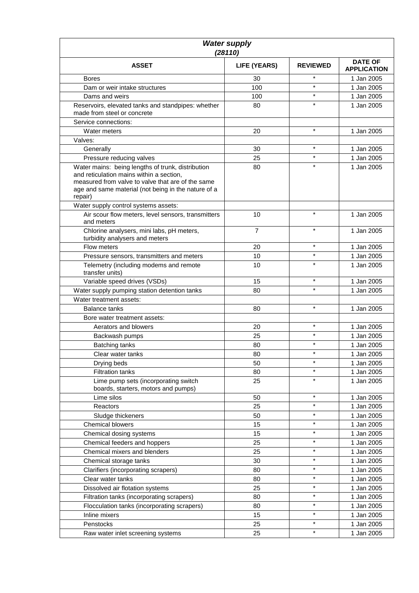| <b>Water supply</b><br>(28110)                                                                                                                                                                                       |                |                 |                                      |
|----------------------------------------------------------------------------------------------------------------------------------------------------------------------------------------------------------------------|----------------|-----------------|--------------------------------------|
| <b>ASSET</b>                                                                                                                                                                                                         | LIFE (YEARS)   | <b>REVIEWED</b> | <b>DATE OF</b><br><b>APPLICATION</b> |
| <b>Bores</b>                                                                                                                                                                                                         | 30             | $\star$         | 1 Jan 2005                           |
| Dam or weir intake structures                                                                                                                                                                                        | 100            | $\star$         | 1 Jan 2005                           |
| Dams and weirs                                                                                                                                                                                                       | 100            | $\star$         | 1 Jan 2005                           |
| Reservoirs, elevated tanks and standpipes: whether<br>made from steel or concrete                                                                                                                                    | 80             | $\star$         | 1 Jan 2005                           |
| Service connections:                                                                                                                                                                                                 |                |                 |                                      |
| Water meters                                                                                                                                                                                                         | 20             | $\star$         | 1 Jan 2005                           |
| Valves:                                                                                                                                                                                                              |                |                 |                                      |
| Generally                                                                                                                                                                                                            | 30             | $\star$         | 1 Jan 2005                           |
| Pressure reducing valves                                                                                                                                                                                             | 25             | $\star$         | 1 Jan 2005                           |
| Water mains: being lengths of trunk, distribution<br>and reticulation mains within a section,<br>measured from valve to valve that are of the same<br>age and same material (not being in the nature of a<br>repair) | 80             |                 | 1 Jan 2005                           |
| Water supply control systems assets:                                                                                                                                                                                 |                |                 |                                      |
| Air scour flow meters, level sensors, transmitters<br>and meters                                                                                                                                                     | 10             | $\star$         | 1 Jan 2005                           |
| Chlorine analysers, mini labs, pH meters,<br>turbidity analysers and meters                                                                                                                                          | $\overline{7}$ | $\star$         | 1 Jan 2005                           |
| Flow meters                                                                                                                                                                                                          | 20             | $\star$         | 1 Jan 2005                           |
| Pressure sensors, transmitters and meters                                                                                                                                                                            | 10             | $\star$         | 1 Jan 2005                           |
| Telemetry (including modems and remote<br>transfer units)                                                                                                                                                            | 10             | $\star$         | 1 Jan 2005                           |
| Variable speed drives (VSDs)                                                                                                                                                                                         | 15             | $\star$         | 1 Jan 2005                           |
| Water supply pumping station detention tanks                                                                                                                                                                         | 80             | $\star$         | 1 Jan 2005                           |
| Water treatment assets:                                                                                                                                                                                              |                |                 |                                      |
| <b>Balance tanks</b>                                                                                                                                                                                                 | 80             | $\star$         | 1 Jan 2005                           |
| Bore water treatment assets:                                                                                                                                                                                         |                |                 |                                      |
| Aerators and blowers                                                                                                                                                                                                 | 20             | $\star$         | 1 Jan 2005                           |
| Backwash pumps                                                                                                                                                                                                       | 25             | $\star$         | 1 Jan 2005                           |
| Batching tanks                                                                                                                                                                                                       | 80             | $\star$         | 1 Jan 2005                           |
| Clear water tanks                                                                                                                                                                                                    | 80             | $\star$         | 1 Jan 2005                           |
| Drying beds                                                                                                                                                                                                          | 50             | $\star$         | 1 Jan 2005                           |
| <b>Filtration tanks</b>                                                                                                                                                                                              | 80             |                 | 1 Jan 2005                           |
| Lime pump sets (incorporating switch<br>boards, starters, motors and pumps)                                                                                                                                          | 25             | $\star$         | 1 Jan 2005                           |
| Lime silos                                                                                                                                                                                                           | 50             | $\star$         | 1 Jan 2005                           |
| Reactors                                                                                                                                                                                                             | 25             | $\star$         | 1 Jan 2005                           |
| Sludge thickeners                                                                                                                                                                                                    | 50             | $\star$         | 1 Jan 2005                           |
| <b>Chemical blowers</b>                                                                                                                                                                                              | 15             | $\star$         | 1 Jan 2005                           |
| Chemical dosing systems                                                                                                                                                                                              | 15             | $\star$         | 1 Jan 2005                           |
| Chemical feeders and hoppers                                                                                                                                                                                         | 25             | $\star$         | 1 Jan 2005                           |
| Chemical mixers and blenders                                                                                                                                                                                         | 25             | $\star$         | 1 Jan 2005                           |
| Chemical storage tanks                                                                                                                                                                                               | 30             | $\star$         | 1 Jan 2005                           |
| Clarifiers (incorporating scrapers)                                                                                                                                                                                  | 80             | $\star$         | 1 Jan 2005                           |
| Clear water tanks                                                                                                                                                                                                    | 80             | $\star$         | 1 Jan 2005                           |
| Dissolved air flotation systems                                                                                                                                                                                      | 25             | $\star$         | 1 Jan 2005                           |
| Filtration tanks (incorporating scrapers)                                                                                                                                                                            | 80             | $\star$         | 1 Jan 2005                           |
| Flocculation tanks (incorporating scrapers)                                                                                                                                                                          | 80             | *               | 1 Jan 2005                           |
| Inline mixers                                                                                                                                                                                                        | 15             | $\star$         | 1 Jan 2005                           |
| Penstocks                                                                                                                                                                                                            | 25             | $\star$         | 1 Jan 2005                           |
| Raw water inlet screening systems                                                                                                                                                                                    | 25             | $\star$         | 1 Jan 2005                           |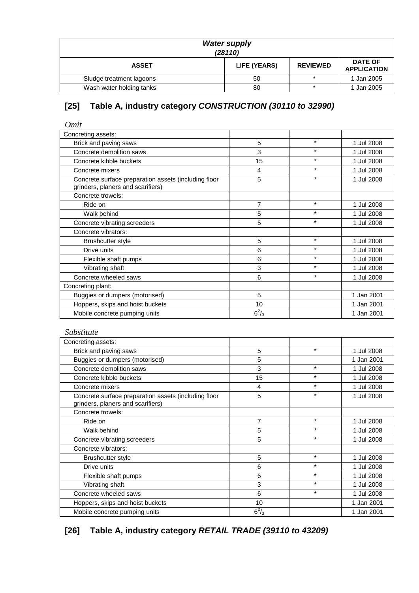| <b>Water supply</b><br>(28110) |              |                 |                                      |
|--------------------------------|--------------|-----------------|--------------------------------------|
| <b>ASSET</b>                   | LIFE (YEARS) | <b>REVIEWED</b> | <b>DATE OF</b><br><b>APPLICATION</b> |
| Sludge treatment lagoons       | 50           |                 | 1 Jan 2005                           |
| Wash water holding tanks       | 80           | $\star$         | 1 Jan 2005                           |

# **[25] Table A, industry category** *CONSTRUCTION (30110 to 32990)*

| Omit                                                                                      |         |         |            |
|-------------------------------------------------------------------------------------------|---------|---------|------------|
| Concreting assets:                                                                        |         |         |            |
| Brick and paving saws                                                                     | 5       | $\star$ | 1 Jul 2008 |
| Concrete demolition saws                                                                  | 3       | $\star$ | 1 Jul 2008 |
| Concrete kibble buckets                                                                   | 15      | $\star$ | 1 Jul 2008 |
| Concrete mixers                                                                           | 4       | $\star$ | 1 Jul 2008 |
| Concrete surface preparation assets (including floor<br>grinders, planers and scarifiers) | 5       | $\star$ | 1 Jul 2008 |
| Concrete trowels:                                                                         |         |         |            |
| Ride on                                                                                   | 7       | $\star$ | 1 Jul 2008 |
| Walk behind                                                                               | 5       | $\star$ | 1 Jul 2008 |
| Concrete vibrating screeders                                                              | 5       | $\star$ | 1 Jul 2008 |
| Concrete vibrators:                                                                       |         |         |            |
| <b>Brushcutter style</b>                                                                  | 5       | $\star$ | 1 Jul 2008 |
| Drive units                                                                               | 6       | $\star$ | 1 Jul 2008 |
| Flexible shaft pumps                                                                      | 6       | $\star$ | 1 Jul 2008 |
| Vibrating shaft                                                                           | 3       | $\star$ | 1 Jul 2008 |
| Concrete wheeled saws                                                                     | 6       | $\star$ | 1 Jul 2008 |
| Concreting plant:                                                                         |         |         |            |
| Buggies or dumpers (motorised)                                                            | 5       |         | 1 Jan 2001 |
| Hoppers, skips and hoist buckets                                                          | 10      |         | 1 Jan 2001 |
| Mobile concrete pumping units                                                             | $6^2/3$ |         | 1 Jan 2001 |

#### *Substitute*

| Concreting assets:                                                                        |              |         |            |
|-------------------------------------------------------------------------------------------|--------------|---------|------------|
| Brick and paving saws                                                                     | 5            | $\star$ | 1 Jul 2008 |
| Buggies or dumpers (motorised)                                                            | 5            |         | 1 Jan 2001 |
| Concrete demolition saws                                                                  | 3            | $\star$ | 1 Jul 2008 |
| Concrete kibble buckets                                                                   | 15           | $\star$ | 1 Jul 2008 |
| Concrete mixers                                                                           | 4            | $\star$ | 1 Jul 2008 |
| Concrete surface preparation assets (including floor<br>grinders, planers and scarifiers) | 5            | $\star$ | 1 Jul 2008 |
| Concrete trowels:                                                                         |              |         |            |
| Ride on                                                                                   | 7            | $\star$ | 1 Jul 2008 |
| Walk behind                                                                               | 5            | $\star$ | 1 Jul 2008 |
| Concrete vibrating screeders                                                              | 5            | $\star$ | 1 Jul 2008 |
| Concrete vibrators:                                                                       |              |         |            |
| <b>Brushcutter style</b>                                                                  | 5            | $\star$ | 1 Jul 2008 |
| Drive units                                                                               | 6            | $\star$ | 1 Jul 2008 |
| Flexible shaft pumps                                                                      | 6            | $\star$ | 1 Jul 2008 |
| Vibrating shaft                                                                           | 3            | $\star$ | 1 Jul 2008 |
| Concrete wheeled saws                                                                     | 6            | $\star$ | 1 Jul 2008 |
| Hoppers, skips and hoist buckets                                                          | 10           |         | 1 Jan 2001 |
| Mobile concrete pumping units                                                             | $6^{2}/_{3}$ |         | 1 Jan 2001 |

# **[26] Table A, industry category** *RETAIL TRADE (39110 to 43209)*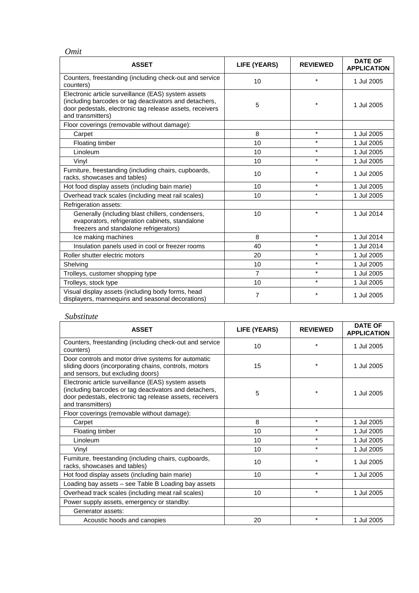| × |  |
|---|--|

| <b>ASSET</b>                                                                                                                                                                                   | <b>LIFE (YEARS)</b> | <b>REVIEWED</b> | <b>DATE OF</b><br><b>APPLICATION</b> |
|------------------------------------------------------------------------------------------------------------------------------------------------------------------------------------------------|---------------------|-----------------|--------------------------------------|
| Counters, freestanding (including check-out and service<br>counters)                                                                                                                           | 10                  | $\star$         | 1 Jul 2005                           |
| Electronic article surveillance (EAS) system assets<br>(including barcodes or tag deactivators and detachers,<br>door pedestals, electronic tag release assets, receivers<br>and transmitters) | 5                   |                 | 1 Jul 2005                           |
| Floor coverings (removable without damage):                                                                                                                                                    |                     |                 |                                      |
| Carpet                                                                                                                                                                                         | 8                   | $\star$         | 1 Jul 2005                           |
| Floating timber                                                                                                                                                                                | 10                  | $\star$         | 1 Jul 2005                           |
| Linoleum                                                                                                                                                                                       | 10                  | $\star$         | 1 Jul 2005                           |
| Vinyl                                                                                                                                                                                          | 10                  | $\star$         | 1 Jul 2005                           |
| Furniture, freestanding (including chairs, cupboards,<br>racks, showcases and tables)                                                                                                          | 10                  | $\star$         | 1 Jul 2005                           |
| Hot food display assets (including bain marie)                                                                                                                                                 | 10                  | $\star$         | 1 Jul 2005                           |
| Overhead track scales (including meat rail scales)                                                                                                                                             | 10                  | $\star$         | 1 Jul 2005                           |
| Refrigeration assets:                                                                                                                                                                          |                     |                 |                                      |
| Generally (including blast chillers, condensers,<br>evaporators, refrigeration cabinets, standalone<br>freezers and standalone refrigerators)                                                  | 10                  | $\star$         | 1 Jul 2014                           |
| Ice making machines                                                                                                                                                                            | 8                   | $\star$         | 1 Jul 2014                           |
| Insulation panels used in cool or freezer rooms                                                                                                                                                | 40                  | $\star$         | 1 Jul 2014                           |
| Roller shutter electric motors                                                                                                                                                                 | 20                  | $\star$         | 1 Jul 2005                           |
| Shelving                                                                                                                                                                                       | 10                  | $\star$         | 1 Jul 2005                           |
| Trolleys, customer shopping type                                                                                                                                                               | $\overline{7}$      | $\star$         | 1 Jul 2005                           |
| Trolleys, stock type                                                                                                                                                                           | 10                  | $\star$         | 1 Jul 2005                           |
| Visual display assets (including body forms, head<br>displayers, mannequins and seasonal decorations)                                                                                          | 7                   | $\star$         | 1 Jul 2005                           |

| <b>ASSET</b>                                                                                                                                                                                   | LIFE (YEARS) | <b>REVIEWED</b> | <b>DATE OF</b><br><b>APPLICATION</b> |
|------------------------------------------------------------------------------------------------------------------------------------------------------------------------------------------------|--------------|-----------------|--------------------------------------|
| Counters, freestanding (including check-out and service<br>counters)                                                                                                                           | 10           | $\star$         | 1 Jul 2005                           |
| Door controls and motor drive systems for automatic<br>sliding doors (incorporating chains, controls, motors<br>and sensors, but excluding doors)                                              | 15           | $\star$         | 1 Jul 2005                           |
| Electronic article surveillance (EAS) system assets<br>(including barcodes or tag deactivators and detachers,<br>door pedestals, electronic tag release assets, receivers<br>and transmitters) | 5            | $\star$         | 1 Jul 2005                           |
| Floor coverings (removable without damage):                                                                                                                                                    |              |                 |                                      |
| Carpet                                                                                                                                                                                         | 8            | $\star$         | 1 Jul 2005                           |
| <b>Floating timber</b>                                                                                                                                                                         | 10           | $\star$         | 1 Jul 2005                           |
| Linoleum                                                                                                                                                                                       | 10           | $\star$         | 1 Jul 2005                           |
| Vinyl                                                                                                                                                                                          | 10           | $\star$         | 1 Jul 2005                           |
| Furniture, freestanding (including chairs, cupboards,<br>racks, showcases and tables)                                                                                                          | 10           | $\star$         | 1 Jul 2005                           |
| Hot food display assets (including bain marie)                                                                                                                                                 | 10           | $\star$         | 1 Jul 2005                           |
| Loading bay assets - see Table B Loading bay assets                                                                                                                                            |              |                 |                                      |
| Overhead track scales (including meat rail scales)                                                                                                                                             | 10           | $\star$         | 1 Jul 2005                           |
| Power supply assets, emergency or standby:                                                                                                                                                     |              |                 |                                      |
| Generator assets:                                                                                                                                                                              |              |                 |                                      |
| Acoustic hoods and canopies                                                                                                                                                                    | 20           | $\star$         | 1 Jul 2005                           |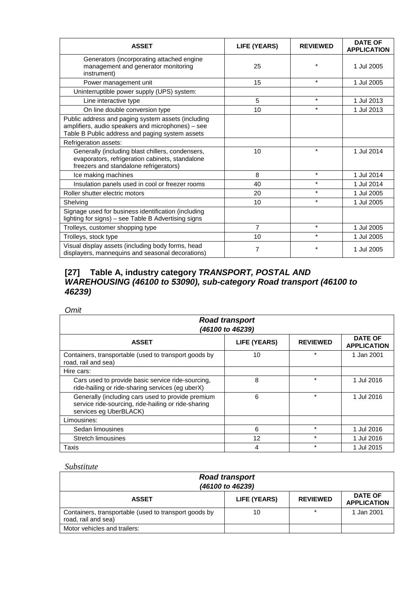| <b>ASSET</b>                                                                                                                                               | <b>LIFE (YEARS)</b> | <b>REVIEWED</b> | <b>DATE OF</b><br><b>APPLICATION</b> |
|------------------------------------------------------------------------------------------------------------------------------------------------------------|---------------------|-----------------|--------------------------------------|
| Generators (incorporating attached engine<br>management and generator monitoring<br>instrument)                                                            | 25                  | ÷               | 1 Jul 2005                           |
| Power management unit                                                                                                                                      | 15                  | $\star$         | 1 Jul 2005                           |
| Uninterruptible power supply (UPS) system:                                                                                                                 |                     |                 |                                      |
| Line interactive type                                                                                                                                      | 5                   | $\star$         | 1 Jul 2013                           |
| On line double conversion type                                                                                                                             | 10                  | $\star$         | 1 Jul 2013                           |
| Public address and paging system assets (including<br>amplifiers, audio speakers and microphones) - see<br>Table B Public address and paging system assets |                     |                 |                                      |
| Refrigeration assets:                                                                                                                                      |                     |                 |                                      |
| Generally (including blast chillers, condensers,<br>evaporators, refrigeration cabinets, standalone<br>freezers and standalone refrigerators)              | 10                  | $\star$         | 1 Jul 2014                           |
| Ice making machines                                                                                                                                        | 8                   | $\star$         | 1 Jul 2014                           |
| Insulation panels used in cool or freezer rooms                                                                                                            | 40                  | $\star$         | 1 Jul 2014                           |
| Roller shutter electric motors                                                                                                                             | 20                  | $\star$         | 1 Jul 2005                           |
| Shelving                                                                                                                                                   | 10                  | $\star$         | 1 Jul 2005                           |
| Signage used for business identification (including<br>lighting for signs) - see Table B Advertising signs                                                 |                     |                 |                                      |
| Trolleys, customer shopping type                                                                                                                           | 7                   | $\star$         | 1 Jul 2005                           |
| Trolleys, stock type                                                                                                                                       | 10                  | $\star$         | 1 Jul 2005                           |
| Visual display assets (including body forms, head<br>displayers, mannequins and seasonal decorations)                                                      | 7                   | *               | 1 Jul 2005                           |

## **[27] Table A, industry category** *TRANSPORT, POSTAL AND WAREHOUSING (46100 to 53090), sub-category Road transport (46100 to 46239)*

#### *Omit*

| <b>Road transport</b><br>(46100 to 46239)                                                                                          |              |                 |                                      |  |
|------------------------------------------------------------------------------------------------------------------------------------|--------------|-----------------|--------------------------------------|--|
| <b>ASSET</b>                                                                                                                       | LIFE (YEARS) | <b>REVIEWED</b> | <b>DATE OF</b><br><b>APPLICATION</b> |  |
| Containers, transportable (used to transport goods by<br>road, rail and sea)                                                       | 10           | ÷               | 1 Jan 2001                           |  |
| Hire cars:                                                                                                                         |              |                 |                                      |  |
| Cars used to provide basic service ride-sourcing,<br>ride-hailing or ride-sharing services (eg uberX)                              | 8            | ÷               | 1 Jul 2016                           |  |
| Generally (including cars used to provide premium<br>service ride-sourcing, ride-hailing or ride-sharing<br>services eg UberBLACK) | 6            | $\star$         | 1 Jul 2016                           |  |
| Limousines:                                                                                                                        |              |                 |                                      |  |
| Sedan limousines                                                                                                                   | 6            | $\star$         | 1 Jul 2016                           |  |
| Stretch limousines                                                                                                                 | 12           | $\star$         | 1 Jul 2016                           |  |
| Taxis                                                                                                                              | 4            | $\star$         | 1 Jul 2015                           |  |

| <b>Road transport</b><br>(46100 to 46239)                                    |              |                 |                                      |
|------------------------------------------------------------------------------|--------------|-----------------|--------------------------------------|
| <b>ASSET</b>                                                                 | LIFE (YEARS) | <b>REVIEWED</b> | <b>DATE OF</b><br><b>APPLICATION</b> |
| Containers, transportable (used to transport goods by<br>road, rail and sea) | 10           |                 | 1 Jan 2001                           |
| Motor vehicles and trailers:                                                 |              |                 |                                      |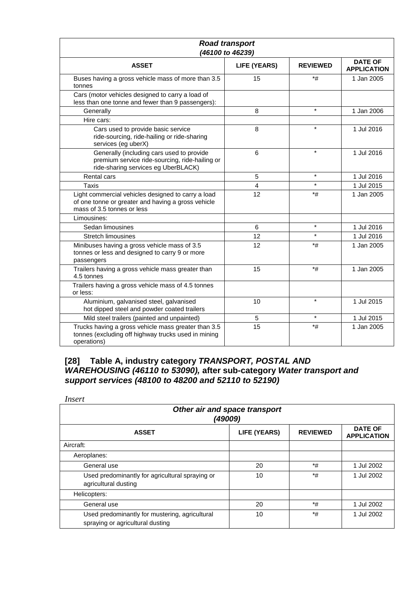| <b>Road transport</b><br>(46100 to 46239)                                                                                              |                     |                 |                                      |
|----------------------------------------------------------------------------------------------------------------------------------------|---------------------|-----------------|--------------------------------------|
| <b>ASSET</b>                                                                                                                           | <b>LIFE (YEARS)</b> | <b>REVIEWED</b> | <b>DATE OF</b><br><b>APPLICATION</b> |
| Buses having a gross vehicle mass of more than 3.5<br>tonnes                                                                           | 15                  | *#              | 1 Jan 2005                           |
| Cars (motor vehicles designed to carry a load of<br>less than one tonne and fewer than 9 passengers):                                  |                     |                 |                                      |
| Generally                                                                                                                              | 8                   | $\star$         | 1 Jan 2006                           |
| Hire cars:                                                                                                                             |                     |                 |                                      |
| Cars used to provide basic service<br>ride-sourcing, ride-hailing or ride-sharing<br>services (eg uberX)                               | 8                   | $\star$         | 1 Jul 2016                           |
| Generally (including cars used to provide<br>premium service ride-sourcing, ride-hailing or<br>ride-sharing services eg UberBLACK)     | 6                   | $\star$         | 1 Jul 2016                           |
| <b>Rental cars</b>                                                                                                                     | 5                   | $\star$         | 1 Jul 2016                           |
| Taxis                                                                                                                                  | 4                   | $\star$         | 1 Jul 2015                           |
| Light commercial vehicles designed to carry a load<br>of one tonne or greater and having a gross vehicle<br>mass of 3.5 tonnes or less | 12                  | *#              | 1 Jan 2005                           |
| Limousines:                                                                                                                            |                     |                 |                                      |
| Sedan limousines                                                                                                                       | 6                   | $\star$         | 1 Jul 2016                           |
| <b>Stretch limousines</b>                                                                                                              | 12                  | $\star$         | 1 Jul 2016                           |
| Minibuses having a gross vehicle mass of 3.5<br>tonnes or less and designed to carry 9 or more<br>passengers                           | 12                  | *#              | 1 Jan 2005                           |
| Trailers having a gross vehicle mass greater than<br>4.5 tonnes                                                                        | 15                  | *#              | 1 Jan 2005                           |
| Trailers having a gross vehicle mass of 4.5 tonnes<br>or less:                                                                         |                     |                 |                                      |
| Aluminium, galvanised steel, galvanised<br>hot dipped steel and powder coated trailers                                                 | 10                  | $\star$         | 1 Jul 2015                           |
| Mild steel trailers (painted and unpainted)                                                                                            | 5                   | $\star$         | 1 Jul 2015                           |
| Trucks having a gross vehicle mass greater than 3.5<br>tonnes (excluding off highway trucks used in mining<br>operations)              | 15                  | $*$ #           | 1 Jan 2005                           |

## **[28] Table A, industry category** *TRANSPORT, POSTAL AND WAREHOUSING (46110 to 53090),* **after sub-category** *Water transport and support services (48100 to 48200 and 52110 to 52190)*

| Insert                                                                             |                     |                 |                                      |  |
|------------------------------------------------------------------------------------|---------------------|-----------------|--------------------------------------|--|
| Other air and space transport<br>(49009)                                           |                     |                 |                                      |  |
| <b>ASSET</b>                                                                       | <b>LIFE (YEARS)</b> | <b>REVIEWED</b> | <b>DATE OF</b><br><b>APPLICATION</b> |  |
| Aircraft:                                                                          |                     |                 |                                      |  |
| Aeroplanes:                                                                        |                     |                 |                                      |  |
| General use                                                                        | 20                  | *#              | 1 Jul 2002                           |  |
| Used predominantly for agricultural spraying or<br>agricultural dusting            | 10                  | *#              | 1 Jul 2002                           |  |
| Helicopters:                                                                       |                     |                 |                                      |  |
| General use                                                                        | 20                  | *#              | 1 Jul 2002                           |  |
| Used predominantly for mustering, agricultural<br>spraying or agricultural dusting | 10                  | $*$ #           | 1 Jul 2002                           |  |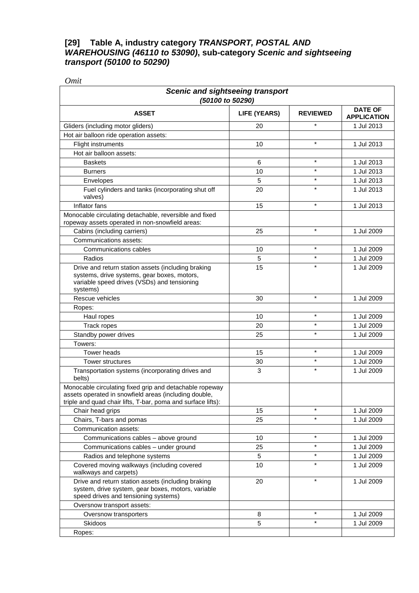#### **[29] Table A, industry category** *TRANSPORT, POSTAL AND WAREHOUSING (46110 to 53090)***, sub-category** *Scenic and sightseeing transport (50100 to 50290)*

*Omit* 

| <b>Scenic and sightseeing transport</b><br>(50100 to 50290)                                                                                                                      |              |                 |                                      |
|----------------------------------------------------------------------------------------------------------------------------------------------------------------------------------|--------------|-----------------|--------------------------------------|
| <b>ASSET</b>                                                                                                                                                                     | LIFE (YEARS) | <b>REVIEWED</b> | <b>DATE OF</b><br><b>APPLICATION</b> |
| Gliders (including motor gliders)                                                                                                                                                | 20           | $\star$         | 1 Jul 2013                           |
| Hot air balloon ride operation assets:                                                                                                                                           |              |                 |                                      |
| <b>Flight instruments</b>                                                                                                                                                        | 10           | $\star$         | 1 Jul 2013                           |
| Hot air balloon assets:                                                                                                                                                          |              |                 |                                      |
| <b>Baskets</b>                                                                                                                                                                   | 6            | $\star$         | 1 Jul 2013                           |
| <b>Burners</b>                                                                                                                                                                   | 10           | $\star$         | 1 Jul 2013                           |
| Envelopes                                                                                                                                                                        | 5            | $\star$         | 1 Jul 2013                           |
| Fuel cylinders and tanks (incorporating shut off<br>valves)                                                                                                                      | 20           | $\star$         | 1 Jul 2013                           |
| Inflator fans                                                                                                                                                                    | 15           | $\star$         | 1 Jul 2013                           |
| Monocable circulating detachable, reversible and fixed<br>ropeway assets operated in non-snowfield areas:                                                                        |              |                 |                                      |
| Cabins (including carriers)                                                                                                                                                      | 25           | $\star$         | 1 Jul 2009                           |
| Communications assets:                                                                                                                                                           |              |                 |                                      |
| Communications cables                                                                                                                                                            | 10           | $\star$         | 1 Jul 2009                           |
| Radios                                                                                                                                                                           | 5            | $\star$         | 1 Jul 2009                           |
| Drive and return station assets (including braking<br>systems, drive systems, gear boxes, motors,<br>variable speed drives (VSDs) and tensioning<br>systems)                     | 15           |                 | 1 Jul 2009                           |
| Rescue vehicles                                                                                                                                                                  | 30           | $\star$         | 1 Jul 2009                           |
| Ropes:                                                                                                                                                                           |              |                 |                                      |
| Haul ropes                                                                                                                                                                       | 10           | $\star$         | 1 Jul 2009                           |
| Track ropes                                                                                                                                                                      | 20           | $\star$         | 1 Jul 2009                           |
| Standby power drives                                                                                                                                                             | 25           | $\star$         | 1 Jul 2009                           |
| Towers:                                                                                                                                                                          |              |                 |                                      |
| <b>Tower heads</b>                                                                                                                                                               | 15           | $\star$         | 1 Jul 2009                           |
| <b>Tower structures</b>                                                                                                                                                          | 30           | $\star$         | 1 Jul 2009                           |
| Transportation systems (incorporating drives and<br>belts)                                                                                                                       | 3            | $\star$         | 1 Jul 2009                           |
| Monocable circulating fixed grip and detachable ropeway<br>assets operated in snowfield areas (including double,<br>triple and quad chair lifts, T-bar, poma and surface lifts): |              |                 |                                      |
| Chair head grips                                                                                                                                                                 | 15           | $\star$         | 1 Jul 2009                           |
| Chairs, T-bars and pomas                                                                                                                                                         | 25           | $\star$         | 1 Jul 2009                           |
| Communication assets:                                                                                                                                                            |              |                 |                                      |
| Communications cables - above ground                                                                                                                                             | 10           | $\star$         | 1 Jul 2009                           |
| Communications cables - under ground                                                                                                                                             | 25           | $\star$         | 1 Jul 2009                           |
| Radios and telephone systems                                                                                                                                                     | 5            | $\star$         | 1 Jul 2009                           |
| Covered moving walkways (including covered<br>walkways and carpets)                                                                                                              | 10           | $\star$         | 1 Jul 2009                           |
| Drive and return station assets (including braking<br>system, drive system, gear boxes, motors, variable<br>speed drives and tensioning systems)                                 | 20           | $\star$         | 1 Jul 2009                           |
| Oversnow transport assets:                                                                                                                                                       |              |                 |                                      |
| Oversnow transporters                                                                                                                                                            | 8            | $\star$         | 1 Jul 2009                           |
| Skidoos                                                                                                                                                                          | 5            | $\star$         | 1 Jul 2009                           |
| Ropes:                                                                                                                                                                           |              |                 |                                      |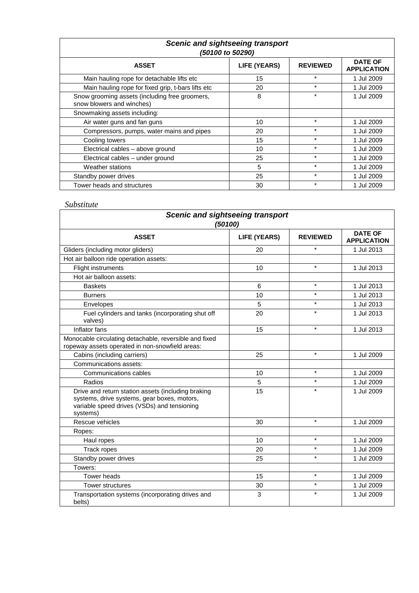| <b>Scenic and sightseeing transport</b><br>(50100 to 50290)                 |                     |                 |                                      |
|-----------------------------------------------------------------------------|---------------------|-----------------|--------------------------------------|
| <b>ASSET</b>                                                                | <b>LIFE (YEARS)</b> | <b>REVIEWED</b> | <b>DATE OF</b><br><b>APPLICATION</b> |
| Main hauling rope for detachable lifts etc                                  | 15                  | $\star$         | 1 Jul 2009                           |
| Main hauling rope for fixed grip, t-bars lifts etc                          | 20                  | $\star$         | 1 Jul 2009                           |
| Snow grooming assets (including free groomers,<br>snow blowers and winches) | 8                   | $\star$         | 1 Jul 2009                           |
| Snowmaking assets including:                                                |                     |                 |                                      |
| Air water guns and fan guns                                                 | 10                  | $\star$         | 1 Jul 2009                           |
| Compressors, pumps, water mains and pipes                                   | 20                  | $\star$         | 1 Jul 2009                           |
| Cooling towers                                                              | 15                  | $\star$         | 1 Jul 2009                           |
| Electrical cables - above ground                                            | 10                  | $\star$         | 1 Jul 2009                           |
| Electrical cables - under ground                                            | 25                  | $\star$         | 1 Jul 2009                           |
| Weather stations                                                            | 5                   | $\star$         | 1 Jul 2009                           |
| Standby power drives                                                        | 25                  | $\star$         | 1 Jul 2009                           |
| Tower heads and structures                                                  | 30                  | $\ast$          | 1 Jul 2009                           |

| <b>Scenic and sightseeing transport</b><br>(50100)                                                                                                           |                     |                 |                                      |
|--------------------------------------------------------------------------------------------------------------------------------------------------------------|---------------------|-----------------|--------------------------------------|
| <b>ASSET</b>                                                                                                                                                 | <b>LIFE (YEARS)</b> | <b>REVIEWED</b> | <b>DATE OF</b><br><b>APPLICATION</b> |
| Gliders (including motor gliders)                                                                                                                            | 20                  | $\star$         | 1 Jul 2013                           |
| Hot air balloon ride operation assets:                                                                                                                       |                     |                 |                                      |
| <b>Flight instruments</b>                                                                                                                                    | 10                  | $\star$         | 1 Jul 2013                           |
| Hot air balloon assets:                                                                                                                                      |                     |                 |                                      |
| <b>Baskets</b>                                                                                                                                               | 6                   | $\star$         | 1 Jul 2013                           |
| <b>Burners</b>                                                                                                                                               | 10                  | $\star$         | 1 Jul 2013                           |
| Envelopes                                                                                                                                                    | 5                   | $\star$         | 1 Jul 2013                           |
| Fuel cylinders and tanks (incorporating shut off<br>valves)                                                                                                  | 20                  | $\star$         | 1 Jul 2013                           |
| Inflator fans                                                                                                                                                | 15                  | $\star$         | 1 Jul 2013                           |
| Monocable circulating detachable, reversible and fixed<br>ropeway assets operated in non-snowfield areas:                                                    |                     |                 |                                      |
| Cabins (including carriers)                                                                                                                                  | 25                  | $\star$         | 1 Jul 2009                           |
| Communications assets:                                                                                                                                       |                     |                 |                                      |
| Communications cables                                                                                                                                        | 10                  | $\star$         | 1 Jul 2009                           |
| Radios                                                                                                                                                       | 5                   | $\star$         | 1 Jul 2009                           |
| Drive and return station assets (including braking<br>systems, drive systems, gear boxes, motors,<br>variable speed drives (VSDs) and tensioning<br>systems) | 15                  | $\star$         | 1 Jul 2009                           |
| Rescue vehicles                                                                                                                                              | 30                  | $\star$         | 1 Jul 2009                           |
| Ropes:                                                                                                                                                       |                     |                 |                                      |
| Haul ropes                                                                                                                                                   | 10                  | $\star$         | 1 Jul 2009                           |
| <b>Track ropes</b>                                                                                                                                           | 20                  | $\star$         | 1 Jul 2009                           |
| Standby power drives                                                                                                                                         | 25                  | $\star$         | 1 Jul 2009                           |
| Towers:                                                                                                                                                      |                     |                 |                                      |
| <b>Tower heads</b>                                                                                                                                           | 15                  | $\star$         | 1 Jul 2009                           |
| Tower structures                                                                                                                                             | 30                  | $\star$         | 1 Jul 2009                           |
| Transportation systems (incorporating drives and<br>belts)                                                                                                   | 3                   | $\star$         | 1 Jul 2009                           |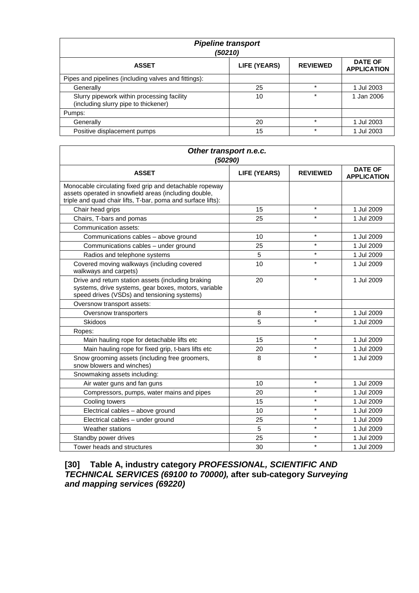| <b>Pipeline transport</b><br>(50210)                                               |              |                 |                                      |  |
|------------------------------------------------------------------------------------|--------------|-----------------|--------------------------------------|--|
| <b>ASSET</b>                                                                       | LIFE (YEARS) | <b>REVIEWED</b> | <b>DATE OF</b><br><b>APPLICATION</b> |  |
| Pipes and pipelines (including valves and fittings):                               |              |                 |                                      |  |
| Generally                                                                          | 25           | $\star$         | 1 Jul 2003                           |  |
| Slurry pipework within processing facility<br>(including slurry pipe to thickener) | 10           |                 | Jan 2006                             |  |
| Pumps:                                                                             |              |                 |                                      |  |
| Generally                                                                          | 20           | $\star$         | 1 Jul 2003                           |  |
| Positive displacement pumps                                                        | 15           | $\star$         | 1 Jul 2003                           |  |

| Other transport n.e.c.<br>(50290)                                                                                                                                                |                     |                 |                                      |  |
|----------------------------------------------------------------------------------------------------------------------------------------------------------------------------------|---------------------|-----------------|--------------------------------------|--|
| <b>ASSET</b>                                                                                                                                                                     | <b>LIFE (YEARS)</b> | <b>REVIEWED</b> | <b>DATE OF</b><br><b>APPLICATION</b> |  |
| Monocable circulating fixed grip and detachable ropeway<br>assets operated in snowfield areas (including double,<br>triple and quad chair lifts, T-bar, poma and surface lifts): |                     |                 |                                      |  |
| Chair head grips                                                                                                                                                                 | 15                  | $\star$         | 1 Jul 2009                           |  |
| Chairs, T-bars and pomas                                                                                                                                                         | 25                  | $\star$         | 1 Jul 2009                           |  |
| Communication assets:                                                                                                                                                            |                     |                 |                                      |  |
| Communications cables - above ground                                                                                                                                             | 10                  | $\star$         | 1 Jul 2009                           |  |
| Communications cables - under ground                                                                                                                                             | 25                  | $\star$         | 1 Jul 2009                           |  |
| Radios and telephone systems                                                                                                                                                     | 5                   | $\star$         | 1 Jul 2009                           |  |
| Covered moving walkways (including covered<br>walkways and carpets)                                                                                                              | 10                  | $\star$         | 1 Jul 2009                           |  |
| Drive and return station assets (including braking<br>systems, drive systems, gear boxes, motors, variable<br>speed drives (VSDs) and tensioning systems)                        | 20                  | $\star$         | 1 Jul 2009                           |  |
| Oversnow transport assets:                                                                                                                                                       |                     |                 |                                      |  |
| Oversnow transporters                                                                                                                                                            | 8                   | $\star$         | 1 Jul 2009                           |  |
| <b>Skidoos</b>                                                                                                                                                                   | 5                   | $\star$         | 1 Jul 2009                           |  |
| Ropes:                                                                                                                                                                           |                     |                 |                                      |  |
| Main hauling rope for detachable lifts etc                                                                                                                                       | 15                  | $\star$         | 1 Jul 2009                           |  |
| Main hauling rope for fixed grip, t-bars lifts etc                                                                                                                               | 20                  | $\star$         | 1 Jul 2009                           |  |
| Snow grooming assets (including free groomers,<br>snow blowers and winches)                                                                                                      | 8                   | $\star$         | 1 Jul 2009                           |  |
| Snowmaking assets including:                                                                                                                                                     |                     |                 |                                      |  |
| Air water guns and fan guns                                                                                                                                                      | 10                  | $\star$         | 1 Jul 2009                           |  |
| Compressors, pumps, water mains and pipes                                                                                                                                        | 20                  | $\star$         | 1 Jul 2009                           |  |
| Cooling towers                                                                                                                                                                   | 15                  | $\star$         | 1 Jul 2009                           |  |
| Electrical cables - above ground                                                                                                                                                 | 10                  | $\star$         | 1 Jul 2009                           |  |
| Electrical cables - under ground                                                                                                                                                 | 25                  | $\star$         | 1 Jul 2009                           |  |
| Weather stations                                                                                                                                                                 | 5                   | $\star$         | 1 Jul 2009                           |  |
| Standby power drives                                                                                                                                                             | 25                  | $\star$         | 1 Jul 2009                           |  |
| Tower heads and structures                                                                                                                                                       | 30                  | $\star$         | 1 Jul 2009                           |  |

**[30] Table A, industry category** *PROFESSIONAL, SCIENTIFIC AND TECHNICAL SERVICES (69100 to 70000),* **after sub-category** *Surveying and mapping services (69220)*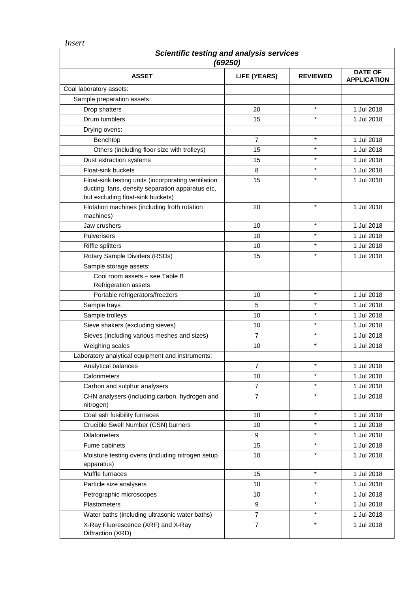*Insert*

| Scientific testing and analysis services<br>(69250)                                                                                          |                |                 |                                      |
|----------------------------------------------------------------------------------------------------------------------------------------------|----------------|-----------------|--------------------------------------|
| <b>ASSET</b>                                                                                                                                 | LIFE (YEARS)   | <b>REVIEWED</b> | <b>DATE OF</b><br><b>APPLICATION</b> |
| Coal laboratory assets:                                                                                                                      |                |                 |                                      |
| Sample preparation assets:                                                                                                                   |                |                 |                                      |
| Drop shatters                                                                                                                                | 20             | $\star$         | 1 Jul 2018                           |
| Drum tumblers                                                                                                                                | 15             | $\star$         | 1 Jul 2018                           |
| Drying ovens:                                                                                                                                |                |                 |                                      |
| Benchtop                                                                                                                                     | 7              | $\star$         | 1 Jul 2018                           |
| Others (including floor size with trolleys)                                                                                                  | 15             | $\star$         | 1 Jul 2018                           |
| Dust extraction systems                                                                                                                      | 15             | $\star$         | 1 Jul 2018                           |
| Float-sink buckets                                                                                                                           | 8              | $\star$         | 1 Jul 2018                           |
| Float-sink testing units (incorporating ventilation<br>ducting, fans, density separation apparatus etc,<br>but excluding float-sink buckets) | 15             | $\star$         | 1 Jul 2018                           |
| Flotation machines (including froth rotation<br>machines)                                                                                    | 20             | $\star$         | 1 Jul 2018                           |
| Jaw crushers                                                                                                                                 | 10             | $\star$         | 1 Jul 2018                           |
| Pulverisers                                                                                                                                  | 10             | $\star$         | 1 Jul 2018                           |
| <b>Riffle splitters</b>                                                                                                                      | 10             | $\star$         | 1 Jul 2018                           |
| Rotary Sample Dividers (RSDs)                                                                                                                | 15             | $\star$         | 1 Jul 2018                           |
| Sample storage assets:                                                                                                                       |                |                 |                                      |
| Cool room assets - see Table B<br>Refrigeration assets                                                                                       |                |                 |                                      |
| Portable refrigerators/freezers                                                                                                              | 10             | $\star$         | 1 Jul 2018                           |
| Sample trays                                                                                                                                 | 5              | $\star$         | 1 Jul 2018                           |
| Sample trolleys                                                                                                                              | 10             | $\star$         | 1 Jul 2018                           |
| Sieve shakers (excluding sieves)                                                                                                             | 10             | $\star$         | 1 Jul 2018                           |
| Sieves (including various meshes and sizes)                                                                                                  | 7              | $\star$         | 1 Jul 2018                           |
| Weighing scales                                                                                                                              | 10             | $\star$         | 1 Jul 2018                           |
| Laboratory analytical equipment and instruments:                                                                                             |                |                 |                                      |
| Analytical balances                                                                                                                          | $\overline{7}$ | $\star$         | 1 Jul 2018                           |
| Calorimeters                                                                                                                                 | 10             | $\star$         | 1 Jul 2018                           |
| Carbon and sulphur analysers                                                                                                                 | $\overline{7}$ | $\star$         | 1 Jul 2018                           |
| CHN analysers (including carbon, hydrogen and<br>nitrogen)                                                                                   | 7              | $\star$         | 1 Jul 2018                           |
| Coal ash fusibility furnaces                                                                                                                 | 10             | $\star$         | 1 Jul 2018                           |
| Crucible Swell Number (CSN) burners                                                                                                          | 10             | $\star$         | 1 Jul 2018                           |
| <b>Dilatometers</b>                                                                                                                          | 9              | $\star$         | 1 Jul 2018                           |
| Fume cabinets                                                                                                                                | 15             | $\star$         | 1 Jul 2018                           |
| Moisture testing ovens (including nitrogen setup<br>apparatus)                                                                               | 10             | $\star$         | 1 Jul 2018                           |
| Muffle furnaces                                                                                                                              | 15             | $\star$         | 1 Jul 2018                           |
| Particle size analysers                                                                                                                      | 10             | $\star$         | 1 Jul 2018                           |
| Petrographic microscopes                                                                                                                     | 10             | $\star$         | 1 Jul 2018                           |
| Plastometers                                                                                                                                 | 9              | $\star$         | 1 Jul 2018                           |
| Water baths (including ultrasonic water baths)                                                                                               | $\overline{7}$ | $\star$         | 1 Jul 2018                           |
| X-Ray Fluorescence (XRF) and X-Ray<br>Diffraction (XRD)                                                                                      | $\overline{7}$ | $\star$         | 1 Jul 2018                           |